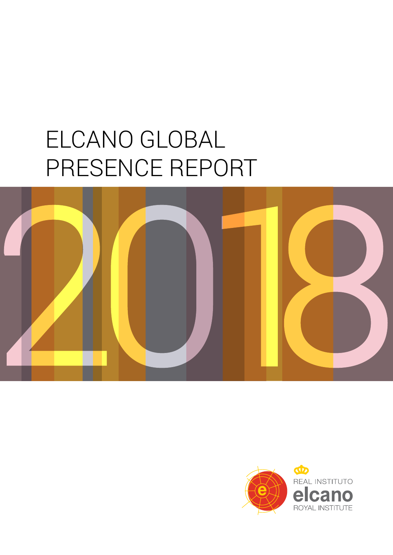# ELCANO GLOBAL PRESENCE REPORT



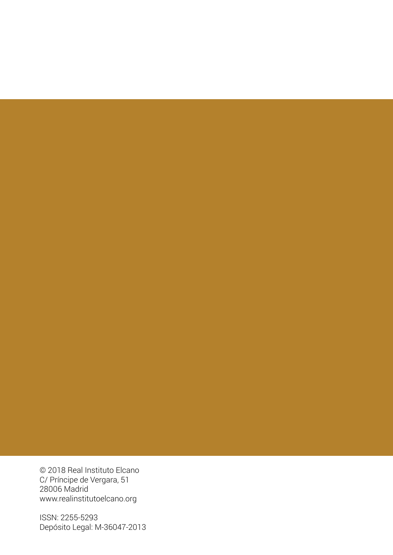© 2018 Real Instituto Elcano C/ Príncipe de Vergara, 51 28006 Madrid www.realinstitutoelcano.org

ISSN: 2255-5293 Depósito Legal: M-36047-2013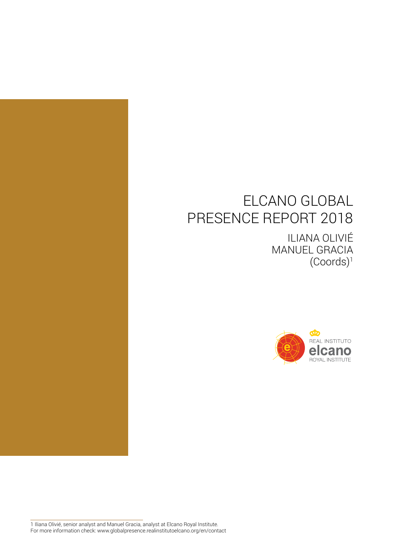### ELCANO GLOBAL PRESENCE REPORT 2018

ILIANA OLIVIÉ MANUEL GRACIA (Coords)1



1 Iliana Olivié, senior analyst and Manuel Gracia, analyst at Elcano Royal Institute. For more information check: www.globalpresence.realinstitutoelcano.org/en/contact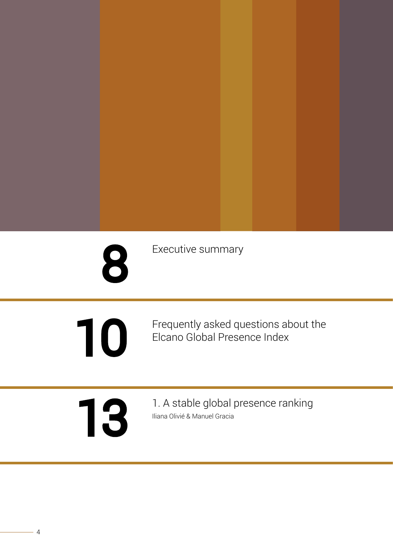| 8  | Executive summary                                                    |
|----|----------------------------------------------------------------------|
| 10 | Frequently asked questions about the<br>Elcano Global Presence Index |
| 13 | 1. A stable global presence ranking<br>Iliana Olivié & Manuel Gracia |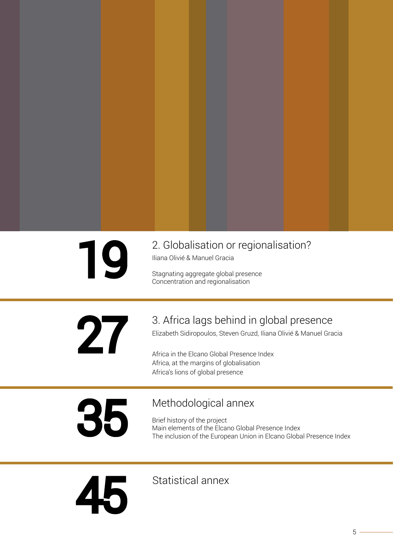2. Globalisation or regionalisation?<br>
Iliana Olivié & Manuel Gracia<br>
Stagnating aggregate global presence

Iliana Olivié & Manuel Gracia

Stagnating aggregate global presence Concentration and regionalisation

3. Africa lags behind in global presence<br>Elizabeth Sidiropoulos, Steven Gruzd, Iliana Olivié & Manuel Gra

Elizabeth Sidiropoulos, Steven Gruzd, Iliana Olivié & Manuel Gracia

Africa in the Elcano Global Presence Index Africa, at the margins of globalisation Africa's lions of global presence

Methodological annex<br>Brief history of the project<br>Main elements of the Elcano Global

Brief history of the project Main elements of the Elcano Global Presence Index The inclusion of the European Union in Elcano Global Presence Index

[S](#page-41-0)tatistical anne[x](#page-41-0)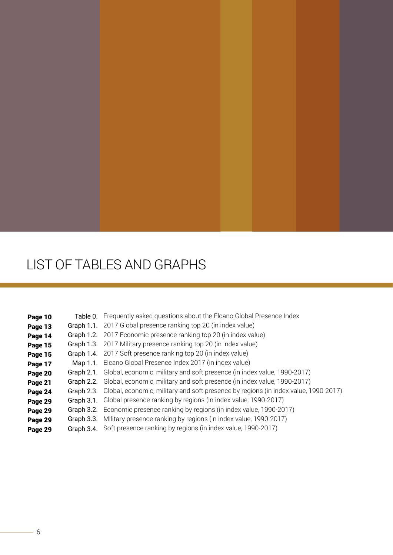### LIST OF TABLES AND GRAPHS

| Page 10 | Table 0. Frequently asked questions about the Elcano Global Presence Index                     |
|---------|------------------------------------------------------------------------------------------------|
| Page 13 | Graph 1.1. 2017 Global presence ranking top 20 (in index value)                                |
| Page 14 | Graph 1.2. 2017 Economic presence ranking top 20 (in index value)                              |
| Page 15 | Graph 1.3. 2017 Military presence ranking top 20 (in index value)                              |
| Page 15 | Graph 1.4. 2017 Soft presence ranking top 20 (in index value)                                  |
| Page 17 | Map 1.1. Elcano Global Presence Index 2017 (in index value)                                    |
| Page 20 | Graph 2.1. Global, economic, military and soft presence (in index value, 1990-2017)            |
| Page 21 | Graph 2.2. Global, economic, military and soft presence (in index value, 1990-2017)            |
| Page 24 | Graph 2.3. Global, economic, military and soft presence by regions (in index value, 1990-2017) |
| Page 29 | Graph 3.1. Global presence ranking by regions (in index value, 1990-2017)                      |
| Page 29 | Graph 3.2. Economic presence ranking by regions (in index value, 1990-2017)                    |
| Page 29 | Graph 3.3. Military presence ranking by regions (in index value, 1990-2017)                    |
| Page 29 | Graph 3.4. Soft presence ranking by regions (in index value, 1990-2017)                        |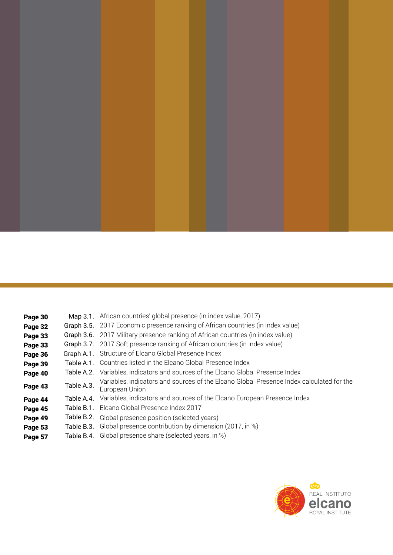

**Page 30** Map 3.1. [African countries' global presence \(in index value, 2017\)](#page-26-0) **Page 32** Graph 3.5. [2017 Economic presence ranking of African countries \(in index value\)](#page-28-0) **Page 33** Graph 3.6. [2017 Military presence ranking of African countries \(in index value\)](#page-29-0) **Page 33** Graph 3.7. [2017 Soft presence ranking of African countries \(in index value\)](#page-29-0) Page 36 Graph A.1. [Structure of Elcano Global Presence Index](#page-32-0) Page 39 Table A.1. [Countries listed in the Elcano Global Presence Index](#page-35-0) Page 40 Table A.2. [Variables, indicators and sources of the Elcano Global Presence Index](#page-36-0) **Page 43** Table A.3. [Variables, indicators and sources of the Elcano Global Presence Index calculated for the](#page-39-0) European Union **Page 44** Table A.4. [Variables, indicators and sources of the Elcano European Presence Index](#page-40-0) Page 45 Table B.1. [Elcano Global Presence Index 2017](#page-41-0) **Page 49** Table B.2. [Global presence position \(selected years\)](#page-45-0) **Page 53** Table B.3. [Global presence contribution by dimension \(2017, in %\)](#page-49-0) **Page 57** Table B.4. [Global presence share \(selected years, in %\)](#page-53-0)

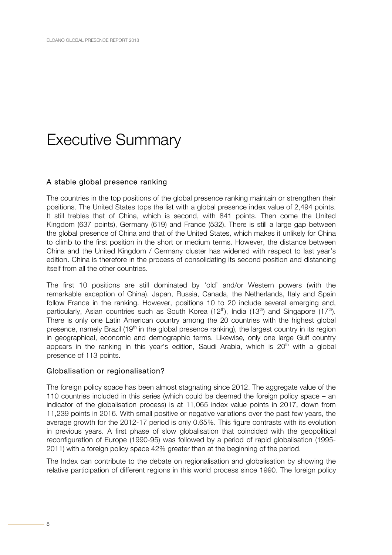### <span id="page-7-0"></span>Executive Summary

#### A stable global presence ranking

The countries in the top positions of the global presence ranking maintain or strengthen their positions. The United States tops the list with a global presence index value of 2,494 points. It still trebles that of China, which is second, with 841 points. Then come the United Kingdom (637 points), Germany (619) and France (532). There is still a large gap between the global presence of China and that of the United States, which makes it unlikely for China to climb to the first position in the short or medium terms. However, the distance between China and the United Kingdom / Germany cluster has widened with respect to last year's edition. China is therefore in the process of consolidating its second position and distancing itself from all the other countries.

The first 10 positions are still dominated by 'old' and/or Western powers (with the remarkable exception of China). Japan, Russia, Canada, the Netherlands, Italy and Spain follow France in the ranking. However, positions 10 to 20 include several emerging and, particularly, Asian countries such as South Korea (12<sup>th</sup>), India (13<sup>th</sup>) and Singapore (17<sup>th</sup>). There is only one Latin American country among the 20 countries with the highest global presence, namely Brazil (19<sup>th</sup> in the global presence ranking), the largest country in its region in geographical, economic and demographic terms. Likewise, only one large Gulf country appears in the ranking in this year's edition, Saudi Arabia, which is  $20<sup>th</sup>$  with a global presence of 113 points.

#### Globalisation or regionalisation?

The foreign policy space has been almost stagnating since 2012. The aggregate value of the 110 countries included in this series (which could be deemed the foreign policy space – an indicator of the globalisation process) is at 11,065 index value points in 2017, down from 11,239 points in 2016. With small positive or negative variations over the past few years, the average growth for the 2012-17 period is only 0.65%. This figure contrasts with its evolution in previous years. A first phase of slow globalisation that coincided with the geopolitical reconfiguration of Europe (1990-95) was followed by a period of rapid globalisation (1995- 2011) with a foreign policy space 42% greater than at the beginning of the period.

The Index can contribute to the debate on regionalisation and globalisation by showing the relative participation of different regions in this world process since 1990. The foreign policy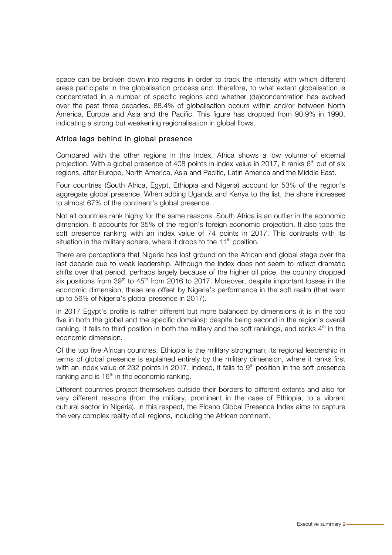space can be broken down into regions in order to track the intensity with which different areas participate in the globalisation process and, therefore, to what extent globalisation is concentrated in a number of specific regions and whether (de)concentration has evolved over the past three decades. 88.4% of globalisation occurs within and/or between North America, Europe and Asia and the Pacific. This figure has dropped from 90.9% in 1990, indicating a strong but weakening regionalisation in global flows.

#### Africa lags behind in global presence

Compared with the other regions in this Index, Africa shows a low volume of external projection. With a global presence of 408 points in index value in 2017, it ranks  $6<sup>th</sup>$  out of six regions, after Europe, North America, Asia and Pacific, Latin America and the Middle East.

Four countries (South Africa, Egypt, Ethiopia and Nigeria) account for 53% of the region's aggregate global presence. When adding Uganda and Kenya to the list, the share increases to almost 67% of the continent's global presence.

Not all countries rank highly for the same reasons. South Africa is an outlier in the economic dimension. It accounts for 35% of the region's foreign economic projection. It also tops the soft presence ranking with an index value of 74 points in 2017. This contrasts with its situation in the military sphere, where it drops to the  $11<sup>th</sup>$  position.

There are perceptions that Nigeria has lost ground on the African and global stage over the last decade due to weak leadership. Although the Index does not seem to reflect dramatic shifts over that period, perhaps largely because of the higher oil price, the country dropped six positions from  $39<sup>th</sup>$  to  $45<sup>th</sup>$  from 2016 to 2017. Moreover, despite important losses in the economic dimension, these are offset by Nigeria's performance in the soft realm (that went up to 56% of Nigeria's global presence in 2017).

In 2017 Egypt's profile is rather different but more balanced by dimensions (it is in the top five in both the global and the specific domains): despite being second in the region's overall ranking, it falls to third position in both the military and the soft rankings, and ranks  $4<sup>th</sup>$  in the economic dimension.

Of the top five African countries, Ethiopia is the military strongman; its regional leadership in terms of global presence is explained entirely by the military dimension, where it ranks first with an index value of 232 points in 2017. Indeed, it falls to  $9<sup>th</sup>$  position in the soft presence ranking and is  $16<sup>th</sup>$  in the economic ranking.

Different countries project themselves outside their borders to different extents and also for very different reasons (from the military, prominent in the case of Ethiopia, to a vibrant cultural sector in Nigeria). In this respect, the Elcano Global Presence Index aims to capture the very complex reality of all regions, including the African continent.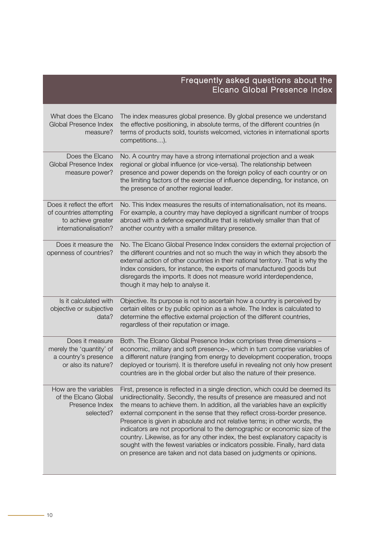<span id="page-9-0"></span>

|                                                                                                      | Frequently asked questions about the<br>Elcano Global Presence Index                                                                                                                                                                                                                                                                                                                                                                                                                                                                                                                                                                                                                                                  |
|------------------------------------------------------------------------------------------------------|-----------------------------------------------------------------------------------------------------------------------------------------------------------------------------------------------------------------------------------------------------------------------------------------------------------------------------------------------------------------------------------------------------------------------------------------------------------------------------------------------------------------------------------------------------------------------------------------------------------------------------------------------------------------------------------------------------------------------|
| What does the Elcano<br>Global Presence Index<br>measure?                                            | The index measures global presence. By global presence we understand<br>the effective positioning, in absolute terms, of the different countries (in<br>terms of products sold, tourists welcomed, victories in international sports<br>competitions).                                                                                                                                                                                                                                                                                                                                                                                                                                                                |
| Does the Elcano<br>Global Presence Index<br>measure power?                                           | No. A country may have a strong international projection and a weak<br>regional or global influence (or vice-versa). The relationship between<br>presence and power depends on the foreign policy of each country or on<br>the limiting factors of the exercise of influence depending, for instance, on<br>the presence of another regional leader.                                                                                                                                                                                                                                                                                                                                                                  |
| Does it reflect the effort<br>of countries attempting<br>to achieve greater<br>internationalisation? | No. This Index measures the results of internationalisation, not its means.<br>For example, a country may have deployed a significant number of troops<br>abroad with a defence expenditure that is relatively smaller than that of<br>another country with a smaller military presence.                                                                                                                                                                                                                                                                                                                                                                                                                              |
| Does it measure the<br>openness of countries?                                                        | No. The Elcano Global Presence Index considers the external projection of<br>the different countries and not so much the way in which they absorb the<br>external action of other countries in their national territory. That is why the<br>Index considers, for instance, the exports of manufactured goods but<br>disregards the imports. It does not measure world interdependence,<br>though it may help to analyse it.                                                                                                                                                                                                                                                                                           |
| Is it calculated with<br>objective or subjective<br>data?                                            | Objective. Its purpose is not to ascertain how a country is perceived by<br>certain elites or by public opinion as a whole. The Index is calculated to<br>determine the effective external projection of the different countries,<br>regardless of their reputation or image.                                                                                                                                                                                                                                                                                                                                                                                                                                         |
| Does it measure<br>merely the 'quantity' of<br>a country's presence<br>or also its nature?           | Both. The Elcano Global Presence Index comprises three dimensions -<br>economic, military and soft presence-, which in turn comprise variables of<br>a different nature (ranging from energy to development cooperation, troops<br>deployed or tourism). It is therefore useful in revealing not only how present<br>countries are in the global order but also the nature of their presence.                                                                                                                                                                                                                                                                                                                         |
| How are the variables<br>of the Elcano Global<br>Presence Index<br>selected?                         | First, presence is reflected in a single direction, which could be deemed its<br>unidirectionality. Secondly, the results of presence are measured and not<br>the means to achieve them. In addition, all the variables have an explicitly<br>external component in the sense that they reflect cross-border presence.<br>Presence is given in absolute and not relative terms; in other words, the<br>indicators are not proportional to the demographic or economic size of the<br>country. Likewise, as for any other index, the best explanatory capacity is<br>sought with the fewest variables or indicators possible. Finally, hard data<br>on presence are taken and not data based on judgments or opinions. |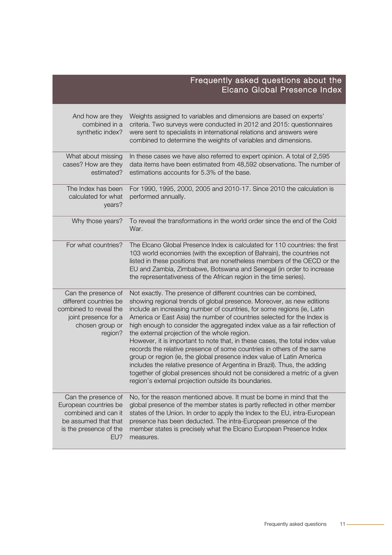|                                                                                                                               | Frequently asked questions about the<br>Elcano Global Presence Index                                                                                                                                                                                                                                                                                                                                                                                                                                                                                                                                                                                                                                                                                                                                                                                                             |
|-------------------------------------------------------------------------------------------------------------------------------|----------------------------------------------------------------------------------------------------------------------------------------------------------------------------------------------------------------------------------------------------------------------------------------------------------------------------------------------------------------------------------------------------------------------------------------------------------------------------------------------------------------------------------------------------------------------------------------------------------------------------------------------------------------------------------------------------------------------------------------------------------------------------------------------------------------------------------------------------------------------------------|
| And how are they<br>combined in a<br>synthetic index?                                                                         | Weights assigned to variables and dimensions are based on experts'<br>criteria. Two surveys were conducted in 2012 and 2015: questionnaires<br>were sent to specialists in international relations and answers were<br>combined to determine the weights of variables and dimensions.                                                                                                                                                                                                                                                                                                                                                                                                                                                                                                                                                                                            |
| What about missing<br>cases? How are they<br>estimated?                                                                       | In these cases we have also referred to expert opinion. A total of 2,595<br>data items have been estimated from 48,592 observations. The number of<br>estimations accounts for 5.3% of the base.                                                                                                                                                                                                                                                                                                                                                                                                                                                                                                                                                                                                                                                                                 |
| The Index has been<br>calculated for what<br>years?                                                                           | For 1990, 1995, 2000, 2005 and 2010-17. Since 2010 the calculation is<br>performed annually.                                                                                                                                                                                                                                                                                                                                                                                                                                                                                                                                                                                                                                                                                                                                                                                     |
| Why those years?                                                                                                              | To reveal the transformations in the world order since the end of the Cold<br>War.                                                                                                                                                                                                                                                                                                                                                                                                                                                                                                                                                                                                                                                                                                                                                                                               |
| For what countries?                                                                                                           | The Elcano Global Presence Index is calculated for 110 countries: the first<br>103 world economies (with the exception of Bahrain), the countries not<br>listed in these positions that are nonetheless members of the OECD or the<br>EU and Zambia, Zimbabwe, Botswana and Senegal (in order to increase<br>the representativeness of the African region in the time series).                                                                                                                                                                                                                                                                                                                                                                                                                                                                                                   |
| Can the presence of<br>different countries be<br>combined to reveal the<br>joint presence for a<br>chosen group or<br>region? | Not exactly. The presence of different countries can be combined,<br>showing regional trends of global presence. Moreover, as new editions<br>include an increasing number of countries, for some regions (ie, Latin<br>America or East Asia) the number of countries selected for the Index is<br>high enough to consider the aggregated index value as a fair reflection of<br>the external projection of the whole region.<br>However, it is important to note that, in these cases, the total index value<br>records the relative presence of some countries in others of the same<br>group or region (ie, the global presence index value of Latin America<br>includes the relative presence of Argentina in Brazil). Thus, the adding<br>together of global presences should not be considered a metric of a given<br>region's external projection outside its boundaries. |
| Can the presence of<br>European countries be<br>combined and can it<br>be assumed that that<br>is the presence of the<br>EU?  | No, for the reason mentioned above. It must be borne in mind that the<br>global presence of the member states is partly reflected in other member<br>states of the Union. In order to apply the Index to the EU, intra-European<br>presence has been deducted. The intra-European presence of the<br>member states is precisely what the Elcano European Presence Index<br>measures.                                                                                                                                                                                                                                                                                                                                                                                                                                                                                             |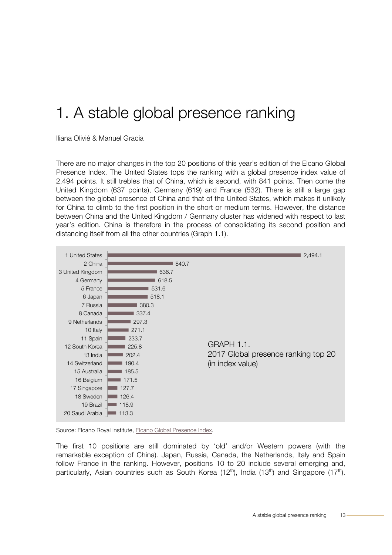### <span id="page-11-0"></span>1. A stable global presence ranking

Iliana Olivié & Manuel Gracia

There are no major changes in the top 20 positions of this year's edition of the Elcano Global Presence Index. The United States tops the ranking with a global presence index value of 2,494 points. It still trebles that of China, which is second, with 841 points. Then come the United Kingdom (637 points), Germany (619) and France (532). There is still a large gap between the global presence of China and that of the United States, which makes it unlikely for China to climb to the first position in the short or medium terms. However, the distance between China and the United Kingdom / Germany cluster has widened with respect to last year's edition. China is therefore in the process of consolidating its second position and distancing itself from all the other countries (Graph 1.1).



Source: Elcano Royal Institute[, Elcano Global Presence Index.](http://www.globalpresence.realinstitutoelcano.org/en/)

The first 10 positions are still dominated by 'old' and/or Western powers (with the remarkable exception of China). Japan, Russia, Canada, the Netherlands, Italy and Spain follow France in the ranking. However, positions 10 to 20 include several emerging and, particularly, Asian countries such as South Korea (12<sup>th</sup>), India (13<sup>th</sup>) and Singapore (17<sup>th</sup>).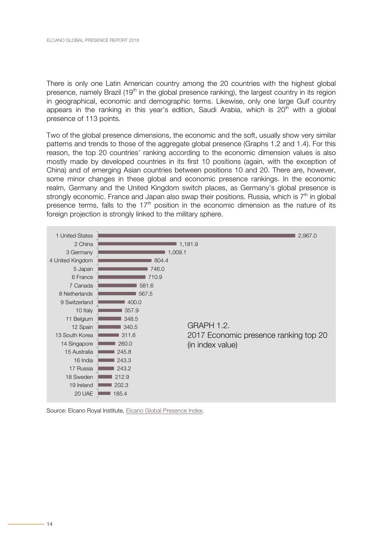<span id="page-12-0"></span>There is only one Latin American country among the 20 countries with the highest global presence, namely Brazil (19<sup>th</sup> in the global presence ranking), the largest country in its region in geographical, economic and demographic terms. Likewise, only one large Gulf country appears in the ranking in this year's edition, Saudi Arabia, which is  $20<sup>th</sup>$  with a global presence of 113 points.

Two of the global presence dimensions, the economic and the soft, usually show very similar patterns and trends to those of the aggregate global presence (Graphs 1.2 and 1.4). For this reason, the top 20 countries' ranking according to the economic dimension values is also mostly made by developed countries in its first 10 positions (again, with the exception of China) and of emerging Asian countries between positions 10 and 20. There are, however, some minor changes in these global and economic presence rankings. In the economic realm, Germany and the United Kingdom switch places, as Germany's global presence is strongly economic. France and Japan also swap their positions. Russia, which is  $7<sup>th</sup>$  in global presence terms, falls to the  $17<sup>th</sup>$  position in the economic dimension as the nature of its foreign projection is strongly linked to the military sphere.



Source: Elcano Royal Institute, [Elcano Global Presence Index.](http://www.globalpresence.realinstitutoelcano.org/en/)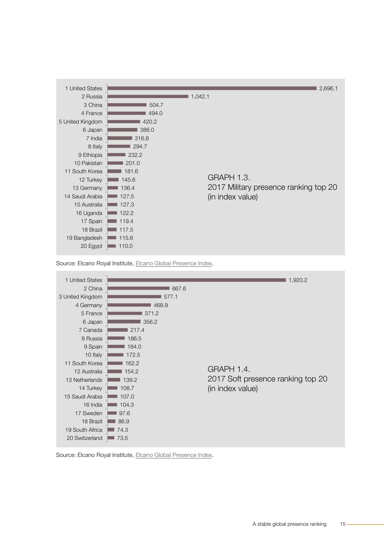<span id="page-13-0"></span>

Source: Elcano Royal Institute[, Elcano Global Presence Index.](http://www.globalpresence.realinstitutoelcano.org/en/)



Source: Elcano Royal Institute[, Elcano Global Presence Index.](http://www.globalpresence.realinstitutoelcano.org/en/)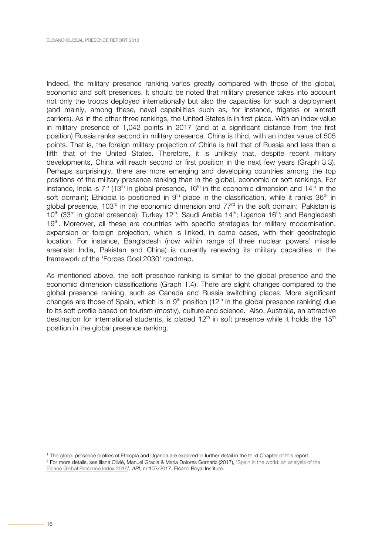Indeed, the military presence ranking varies greatly compared with those of the global, economic and soft presences. It should be noted that military presence takes into account not only the troops deployed internationally but also the capacities for such a deployment (and mainly, among these, naval capabilities such as, for instance, frigates or aircraft carriers). As in the other three rankings, the United States is in first place. With an index value in military presence of 1,042 points in 2017 (and at a significant distance from the first position) Russia ranks second in military presence. China is third, with an index value of 505 points. That is, the foreign military projection of China is half that of Russia and less than a fifth that of the United States. Therefore, it is unlikely that, despite recent military developments, China will reach second or first position in the next few years (Graph 3.3). Perhaps surprisingly, there are more emerging and developing countries among the top positions of the military presence ranking than in the global, economic or soft rankings. For instance, India is  $7<sup>th</sup>$  (13<sup>th</sup> in global presence, 16<sup>th</sup> in the economic dimension and 14<sup>th</sup> in the soft domain); Ethiopia is positioned in  $9<sup>th</sup>$  place in the classification, while it ranks  $36<sup>th</sup>$  in global presence, 103<sup>rd</sup> in the economic dimension and 77<sup>rd</sup> in the soft domain;<sup>1</sup> Pakistan is  $10^{th}$  (33<sup>rd</sup> in global presence); Turkey 12<sup>th</sup>; Saudi Arabia 14<sup>th</sup>; Uganda 16<sup>th</sup>; and Bangladesh  $19<sup>th</sup>$ . Moreover, all these are countries with specific strategies for military modernisation, expansion or foreign projection, which is linked, in some cases, with their geostrategic location. For instance, Bangladesh (now within range of three nuclear powers' missile arsenals: India, Pakistan and China) is currently renewing its military capacities in the framework of the 'Forces Goal 2030' roadmap.

As mentioned above, the soft presence ranking is similar to the global presence and the economic dimension classifications (Graph 1.4). There are slight changes compared to the global presence ranking, such as Canada and Russia switching places. More significant changes are those of Spain, which is in  $9<sup>th</sup>$  position (12<sup>th</sup> in the global presence ranking) due to its soft profile based on tourism (mostly), culture and science. <sup>2</sup> Also, Australia, an attractive destination for international students, is placed  $12<sup>th</sup>$  in soft presence while it holds the  $15<sup>th</sup>$ position in the global presence ranking.

 <sup>1</sup> The global presence profiles of Ethiopia and Uganda are explored in further detail in the third Chapter of this report. <sup>2</sup> For more details, see Iliana Olivié, Manuel Gracia & Maria Dolores Gomariz (2017), 'Spain in the world: an analysis of the Elcano Global Presence Index 2016', *ARI*, nr 103/2017, Elcano Royal Institute.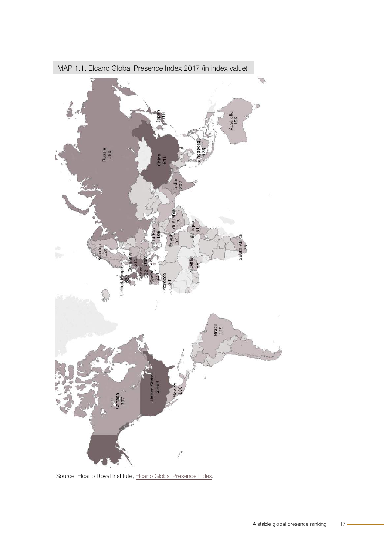

<span id="page-15-0"></span>MAP 1.1. Elcano Global Presence Index 2017 (in index value)

Source: Elcano Royal Institute, [Elcano Global Presence Index.](http://www.globalpresence.realinstitutoelcano.org/en/)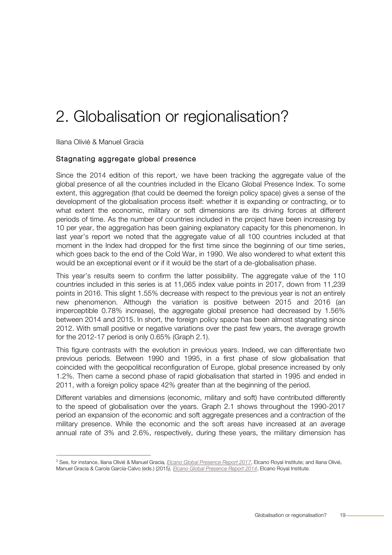### <span id="page-16-0"></span>2. Globalisation or regionalisation?

Iliana Olivié & Manuel Gracia

#### Stagnating aggregate global presence

Since the 2014 edition of this report,<sup>3</sup> we have been tracking the aggregate value of the global presence of all the countries included in the Elcano Global Presence Index. To some extent, this aggregation (that could be deemed the foreign policy space) gives a sense of the development of the globalisation process itself: whether it is expanding or contracting, or to what extent the economic, military or soft dimensions are its driving forces at different periods of time. As the number of countries included in the project have been increasing by 10 per year, the aggregation has been gaining explanatory capacity for this phenomenon. In last year's report we noted that the aggregate value of all 100 countries included at that moment in the Index had dropped for the first time since the beginning of our time series, which goes back to the end of the Cold War, in 1990. We also wondered to what extent this would be an exceptional event or if it would be the start of a de-globalisation phase.

This year's results seem to confirm the latter possibility. The aggregate value of the 110 countries included in this series is at 11,065 index value points in 2017, down from 11,239 points in 2016. This slight 1.55% decrease with respect to the previous year is not an entirely new phenomenon. Although the variation is positive between 2015 and 2016 (an imperceptible 0.78% increase), the aggregate global presence had decreased by 1.56% between 2014 and 2015. In short, the foreign policy space has been almost stagnating since 2012. With small positive or negative variations over the past few years, the average growth for the 2012-17 period is only 0.65% (Graph 2.1).

This figure contrasts with the evolution in previous years. Indeed, we can differentiate two previous periods. Between 1990 and 1995, in a first phase of slow globalisation that coincided with the geopolitical reconfiguration of Europe, global presence increased by only 1.2%. Then came a second phase of rapid globalisation that started in 1995 and ended in 2011, with a foreign policy space 42% greater than at the beginning of the period.

Different variables and dimensions (economic, military and soft) have contributed differently to the speed of globalisation over the years. Graph 2.1 shows throughout the 1990-2017 period an expansion of the economic and soft aggregate presences and a contraction of the military presence. While the economic and the soft areas have increased at an average annual rate of 3% and 2.6%, respectively, during these years, the military dimension has

 <sup>3</sup> See, for instance, Iliana Olivié & Manuel Gracia*, [Elcano Global Presence Report 2017](http://www.realinstitutoelcano.org/wps/portal/rielcano_en/publication?WCM_GLOBAL_CONTEXT=/elcano/elcano_in/publications/elcano-global-presence-report-2017)*, Elcano Royal Institute; and Iliana Olivié, Manuel Gracia & Carola García-Calvo (eds.) (2015*), [Elcano Global Presence Report 2014](http://www.realinstitutoelcano.org/wps/portal/rielcano_en/publication?WCM_GLOBAL_CONTEXT=/elcano/elcano_in/publications/elcano-global-presence-report-2014)*, Elcano Royal Institute.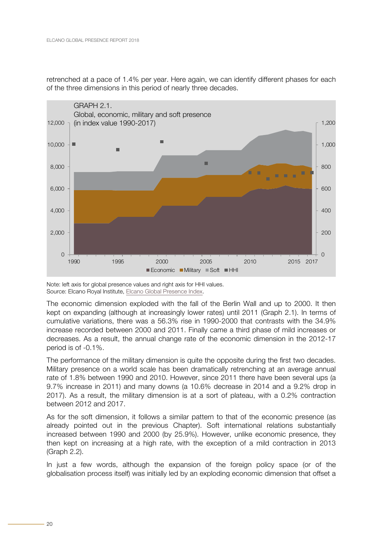<span id="page-17-0"></span>retrenched at a pace of 1.4% per year. Here again, we can identify different phases for each of the three dimensions in this period of nearly three decades.



Note: left axis for global presence values and right axis for HHI values. Source: Elcano Royal Institute, [Elcano Global Presence Index.](http://www.globalpresence.realinstitutoelcano.org/en/)

The economic dimension exploded with the fall of the Berlin Wall and up to 2000. It then kept on expanding (although at increasingly lower rates) until 2011 (Graph 2.1). In terms of cumulative variations, there was a 56.3% rise in 1990-2000 that contrasts with the 34.9% increase recorded between 2000 and 2011. Finally came a third phase of mild increases or decreases. As a result, the annual change rate of the economic dimension in the 2012-17 period is of -0.1%.

The performance of the military dimension is quite the opposite during the first two decades. Military presence on a world scale has been dramatically retrenching at an average annual rate of 1.8% between 1990 and 2010. However, since 2011 there have been several ups (a 9.7% increase in 2011) and many downs (a 10.6% decrease in 2014 and a 9.2% drop in 2017). As a result, the military dimension is at a sort of plateau, with a 0.2% contraction between 2012 and 2017.

As for the soft dimension, it follows a similar pattern to that of the economic presence (as already pointed out in the previous Chapter). Soft international relations substantially increased between 1990 and 2000 (by 25.9%). However, unlike economic presence, they then kept on increasing at a high rate, with the exception of a mild contraction in 2013 (Graph 2.2).

In just a few words, although the expansion of the foreign policy space (or of the globalisation process itself) was initially led by an exploding economic dimension that offset a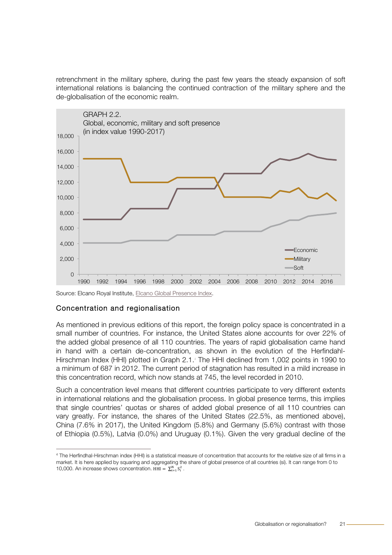<span id="page-18-0"></span>retrenchment in the military sphere, during the past few years the steady expansion of soft international relations is balancing the continued contraction of the military sphere and the de-globalisation of the economic realm.



#### Source: Elcano Royal Institute[, Elcano Global Presence Index.](http://www.globalpresence.realinstitutoelcano.org/en/)

#### Concentration and regionalisation

As mentioned in previous editions of this report, the foreign policy space is concentrated in a small number of countries. For instance, the United States alone accounts for over 22% of the added global presence of all 110 countries. The years of rapid globalisation came hand in hand with a certain de-concentration, as shown in the evolution of the Herfindahl-Hirschman Index (HHI) plotted in Graph 2.1.4 The HHI declined from 1,002 points in 1990 to a minimum of 687 in 2012. The current period of stagnation has resulted in a mild increase in this concentration record, which now stands at 745, the level recorded in 2010.

Such a concentration level means that different countries participate to very different extents in international relations and the globalisation process. In global presence terms, this implies that single countries' quotas or shares of added global presence of all 110 countries can vary greatly. For instance, the shares of the United States (22.5%, as mentioned above), China (7.6% in 2017), the United Kingdom (5.8%) and Germany (5.6%) contrast with those of Ethiopia (0.5%), Latvia (0.0%) and Uruguay (0.1%). Given the very gradual decline of the

 <sup>4</sup> The Herfindhal-Hirschman index (HHI) is a statistical measure of concentration that accounts for the relative size of all firms in a market. It is here applied by squaring and aggregating the share of global presence of all countries (si). It can range from 0 to 10,000. An increase shows concentration. HHI =  $\sum_{i=1}^{N} S_i^2$ .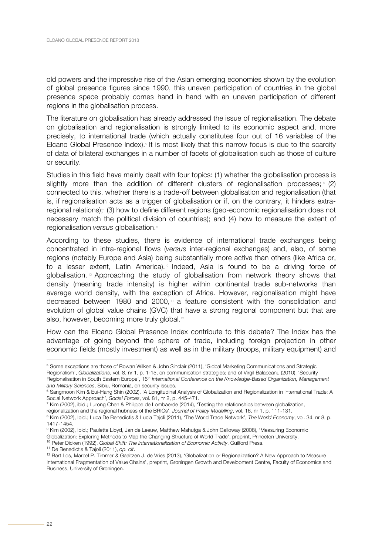old powers and the impressive rise of the Asian emerging economies shown by the evolution of global presence figures since 1990, this uneven participation of countries in the global presence space probably comes hand in hand with an uneven participation of different regions in the globalisation process.

The literature on globalisation has already addressed the issue of regionalisation. The debate on globalisation and regionalisation is strongly limited to its economic aspect and, more precisely, to international trade (which actually constitutes four out of 16 variables of the Elcano Global Presence Index).<sup>5</sup> It is most likely that this narrow focus is due to the scarcity of data of bilateral exchanges in a number of facets of globalisation such as those of culture or security.

Studies in this field have mainly dealt with four topics: (1) whether the globalisation process is slightly more than the addition of different clusters of regionalisation processes;  $\degree$  (2) connected to this, whether there is a trade-off between globalisation and regionalisation (that is, if regionalisation acts as a trigger of globalisation or if, on the contrary, it hinders extraregional relations);<sup>7</sup> (3) how to define different regions (geo-economic regionalisation does not necessary match the political division of countries); and (4) how to measure the extent of regionalisation *versus* globalisation.<sup>8</sup>

According to these studies, there is evidence of international trade exchanges being concentrated in intra-regional flows (*versus* inter-regional exchanges) and, also, of some regions (notably Europe and Asia) being substantially more active than others (like Africa or, to a lesser extent, Latin America). Indeed, Asia is found to be a driving force of globalisation. <sup>10</sup> Approaching the study of globalisation from network theory shows that density (meaning trade intensity) is higher within continental trade sub-networks than average world density, with the exception of Africa. However, regionalisation might have decreased between 1980 and 2000, $\mu$  a feature consistent with the consolidation and evolution of global value chains (GVC) that have a strong regional component but that are also, however, becoming more truly global.<sup>12</sup>

How can the Elcano Global Presence Index contribute to this debate? The Index has the advantage of going beyond the sphere of trade, including foreign projection in other economic fields (mostly investment) as well as in the military (troops, military equipment) and

 <sup>5</sup> Some exceptions are those of Rowan Wilken & John Sinclair (2011), 'Global Marketing Communications and Strategic Regionalism', *Globalizations*, vol. 8, nr 1, p. 1-15, on communication strategies; and of Virgil Balaceanu (2010), 'Security Regionalisation in South Eastern Europe', 16th *International Conference on the Knowledge-Based Organization, Management and Military Sciences*, Sibiu, Romania, on security issues.

<sup>6</sup> Sangmoon Kim & Eui-Hang Shin (2002), 'A Longitudinal Analysis of Globalization and Regionalization in International Trade: A Social Network Approach', *Social Forces*, vol. 81, nr 2, p. 445-471.

 $^7$  Kim (2002), ibid.; Lurong Chen & Philippe de Lombaerde (2014), 'Testing the relationships between globalization, regionalization and the regional hubness of the BRICs', *Journal of Policy Modelling*, vol. 16, nr 1, p. 111-131.

<sup>8</sup> Kim (2002), Ibid.; Luca De Benedictis & Lucia Tajoli (2011), 'The World Trade Network', *The World Economy*, vol. 34, nr 8, p. 1417-1454.

<sup>9</sup> Kim (2002), Ibid.; Paulette Lloyd, Jan de Leeuw, Matthew Mahutga & John Galloway (2008), 'Measuring Economic

Globalization: Exploring Methods to Map the Changing Structure of World Trade', preprint, Princeton University. <sup>10</sup> Peter Dicken (1992), *Global Shift: The Internationalization of Economic Activity*, Guilford Press.

<sup>11</sup> De Benedictis & Tajoli (2011), *op. cit*.

<sup>12</sup> Bart Los, Marcel P. Timmer & Gaaitzen J. de Vries (2013), 'Globalization or Regionalization? A New Approach to Measure International Fragmentation of Value Chains', preprint, Groningen Growth and Development Centre, Faculty of Economics and Business, University of Groningen.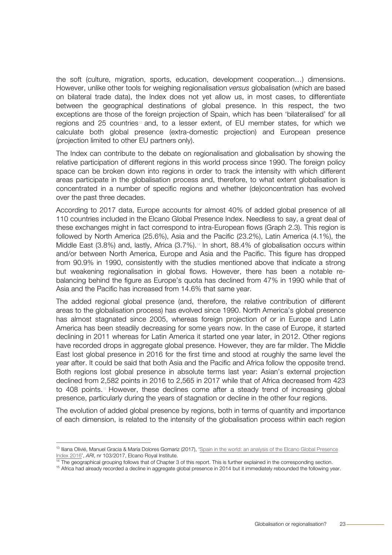the soft (culture, migration, sports, education, development cooperation…) dimensions. However, unlike other tools for weighing regionalisation *versus* globalisation (which are based on bilateral trade data), the Index does not yet allow us, in most cases, to differentiate between the geographical destinations of global presence. In this respect, the two exceptions are those of the foreign projection of Spain, which has been 'bilateralised' for all regions and 25 countries<sup>®</sup> and, to a lesser extent, of EU member states, for which we calculate both global presence (extra-domestic projection) and European presence (projection limited to other EU partners only).

The Index can contribute to the debate on regionalisation and globalisation by showing the relative participation of different regions in this world process since 1990. The foreign policy space can be broken down into regions in order to track the intensity with which different areas participate in the globalisation process and, therefore, to what extent globalisation is concentrated in a number of specific regions and whether (de)concentration has evolved over the past three decades.

According to 2017 data, Europe accounts for almost 40% of added global presence of all 110 countries included in the Elcano Global Presence Index. Needless to say, a great deal of these exchanges might in fact correspond to intra-European flows (Graph 2.3). This region is followed by North America (25.6%), Asia and the Pacific (23.2%), Latin America (4.1%), the Middle East  $(3.8\%)$  and, lastly, Africa  $(3.7\%)$ .<sup>14</sup> In short, 88.4% of globalisation occurs within and/or between North America, Europe and Asia and the Pacific. This figure has dropped from 90.9% in 1990, consistently with the studies mentioned above that indicate a strong but weakening regionalisation in global flows. However, there has been a notable rebalancing behind the figure as Europe's quota has declined from 47% in 1990 while that of Asia and the Pacific has increased from 14.6% that same year.

The added regional global presence (and, therefore, the relative contribution of different areas to the globalisation process) has evolved since 1990. North America's global presence has almost stagnated since 2005, whereas foreign projection of or in Europe and Latin America has been steadily decreasing for some years now. In the case of Europe, it started declining in 2011 whereas for Latin America it started one year later, in 2012. Other regions have recorded drops in aggregate global presence. However, they are far milder. The Middle East lost global presence in 2016 for the first time and stood at roughly the same level the year after. It could be said that both Asia and the Pacific and Africa follow the opposite trend. Both regions lost global presence in absolute terms last year: Asian's external projection declined from 2,582 points in 2016 to 2,565 in 2017 while that of Africa decreased from 423 to 408 points.<sup>15</sup> However, these declines come after a steady trend of increasing global presence, particularly during the years of stagnation or decline in the other four regions.

The evolution of added global presence by regions, both in terms of quantity and importance of each dimension, is related to the intensity of the globalisation process within each region

<sup>&</sup>lt;sup>13</sup> Iliana Olivié, Manuel Gracia & María Dolores Gomariz (2017), 'Spain in the world: an analysis of the Elcano Global Presence Index 2016', *ARI*, nr 103/2017, Elcano Royal Institute.

<sup>&</sup>lt;sup>14</sup> The geographical grouping follows that of Chapter 3 of this report. This is further explained in the corresponding section.

<sup>&</sup>lt;sup>15</sup> Africa had already recorded a decline in aggregate global presence in 2014 but it immediately rebounded the following year.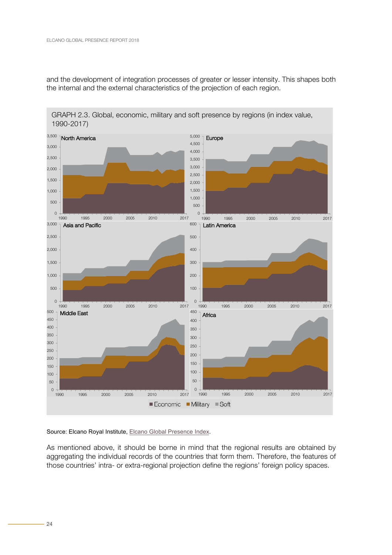<span id="page-21-0"></span>and the development of integration processes of greater or lesser intensity. This shapes both the internal and the external characteristics of the projection of each region.

GRAPH 2.3. Global, economic, military and soft presence by regions (in index value, 1990-2017)



#### Source: Elcano Royal Institute, [Elcano Global Presence Index.](http://www.globalpresence.realinstitutoelcano.org/en/)

As mentioned above, it should be borne in mind that the regional results are obtained by aggregating the individual records of the countries that form them. Therefore, the features of those countries' intra- or extra-regional projection define the regions' foreign policy spaces.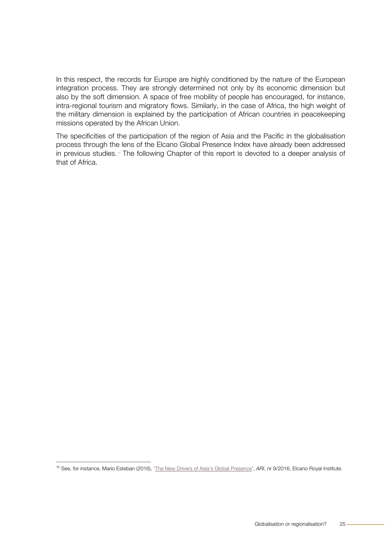In this respect, the records for Europe are highly conditioned by the nature of the European integration process. They are strongly determined not only by its economic dimension but also by the soft dimension. A space of free mobility of people has encouraged, for instance, intra-regional tourism and migratory flows. Similarly, in the case of Africa, the high weight of the military dimension is explained by the participation of African countries in peacekeeping missions operated by the African Union.

The specificities of the participation of the region of Asia and the Pacific in the globalisation process through the lens of the Elcano Global Presence Index have already been addressed in previous studies.<sup>16</sup> The following Chapter of this report is devoted to a deeper analysis of that of Africa.

 <sup>16</sup> See, for instance, Mario Esteban (2016), ['The New Drivers of Asia's Global Presence',](http://www.realinstitutoelcano.org/wps/portal/rielcano_en/contenido?WCM_GLOBAL_CONTEXT=/elcano/elcano_in/specials/globalpresenceindex-iepg/ari9-2016-esteban-new-drivers-asia-global-presence) *ARI*, nr 9/2016, Elcano Royal Institute.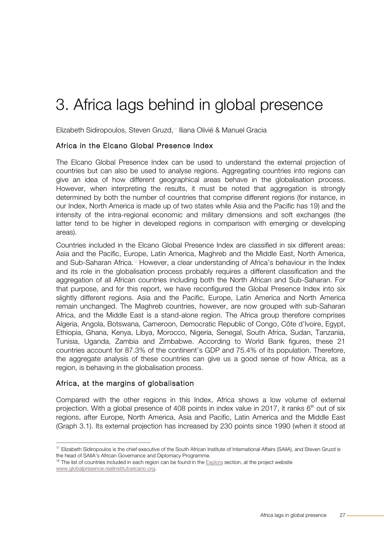## <span id="page-23-0"></span>3. Africa lags behind in global presence

Elizabeth Sidiropoulos, Steven Gruzd,<sup>17</sup> Iliana Olivié & Manuel Gracia

#### Africa in the Elcano Global Presence Index

The Elcano Global Presence Index can be used to understand the external projection of countries but can also be used to analyse regions. Aggregating countries into regions can give an idea of how different geographical areas behave in the globalisation process. However, when interpreting the results, it must be noted that aggregation is strongly determined by both the number of countries that comprise different regions (for instance, in our Index, North America is made up of two states while Asia and the Pacific has 19) and the intensity of the intra-regional economic and military dimensions and soft exchanges (the latter tend to be higher in developed regions in comparison with emerging or developing areas).

Countries included in the Elcano Global Presence Index are classified in six different areas: Asia and the Pacific, Europe, Latin America, Maghreb and the Middle East, North America, and Sub-Saharan Africa.<sup>18</sup> However, a clear understanding of Africa's behaviour in the Index and its role in the globalisation process probably requires a different classification and the aggregation of all African countries including both the North African and Sub-Saharan. For that purpose, and for this report, we have reconfigured the Global Presence Index into six slightly different regions. Asia and the Pacific, Europe, Latin America and North America remain unchanged. The Maghreb countries, however, are now grouped with sub-Saharan Africa, and the Middle East is a stand-alone region. The Africa group therefore comprises Algeria, Angola, Botswana, Cameroon, Democratic Republic of Congo, Côte d'Ivoire, Egypt, Ethiopia, Ghana, Kenya, Libya, Morocco, Nigeria, Senegal, South Africa, Sudan, Tanzania, Tunisia, Uganda, Zambia and Zimbabwe. According to World Bank figures, these 21 countries account for 87.3% of the continent's GDP and 75.4% of its population. Therefore, the aggregate analysis of these countries can give us a good sense of how Africa, as a region, is behaving in the globalisation process.

#### Africa, at the margins of globalisation

Compared with the other regions in this Index, Africa shows a low volume of external projection. With a global presence of 408 points in index value in 2017, it ranks  $6<sup>th</sup>$  out of six regions, after Europe, North America, Asia and Pacific, Latin America and the Middle East (Graph 3.1). Its external projection has increased by 230 points since 1990 (when it stood at

<sup>&</sup>lt;sup>17</sup> Elizabeth Sidiropoulos is the chief executive of the South African Institute of International Affairs (SAIIA), and Steven Gruzd is the head of SAIIA's African Governance and Diplomacy Programme.

 $18$  The list of countries included in each region can be found in the [Explora](http://explora.globalpresence.realinstitutoelcano.org/en/) section, at the project website [www.globalpresence.realinstitutoelcano.org.](http://www.globalpresence.realinstitutoelcano.org/en/home)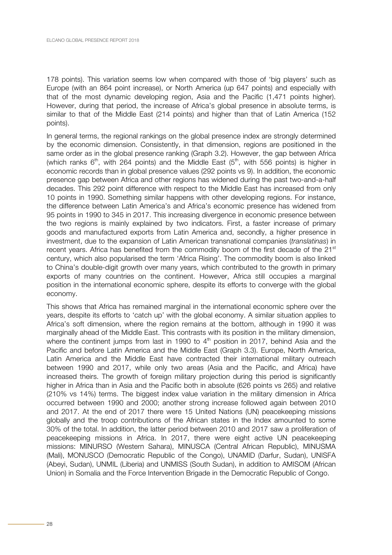178 points). This variation seems low when compared with those of 'big players' such as Europe (with an 864 point increase), or North America (up 647 points) and especially with that of the most dynamic developing region, Asia and the Pacific (1,471 points higher). However, during that period, the increase of Africa's global presence in absolute terms, is similar to that of the Middle East (214 points) and higher than that of Latin America (152 points).

In general terms, the regional rankings on the global presence index are strongly determined by the economic dimension. Consistently, in that dimension, regions are positioned in the same order as in the global presence ranking (Graph 3.2). However, the gap between Africa (which ranks  $6<sup>th</sup>$ , with 264 points) and the Middle East  $(5<sup>th</sup>)$ , with 556 points) is higher in economic records than in global presence values (292 points vs 9). In addition, the economic presence gap between Africa and other regions has widened during the past two-and-a-half decades. This 292 point difference with respect to the Middle East has increased from only 10 points in 1990. Something similar happens with other developing regions. For instance, the difference between Latin America's and Africa's economic presence has widened from 95 points in 1990 to 345 in 2017. This increasing divergence in economic presence between the two regions is mainly explained by two indicators. First, a faster increase of primary goods and manufactured exports from Latin America and, secondly, a higher presence in investment, due to the expansion of Latin American transnational companies (*translatinas*) in recent years. Africa has benefited from the commodity boom of the first decade of the  $21<sup>st</sup>$ century, which also popularised the term 'Africa Rising'. The commodity boom is also linked to China's double-digit growth over many years, which contributed to the growth in primary exports of many countries on the continent. However, Africa still occupies a marginal position in the international economic sphere, despite its efforts to converge with the global economy.

This shows that Africa has remained marginal in the international economic sphere over the years, despite its efforts to 'catch up' with the global economy. A similar situation applies to Africa's soft dimension, where the region remains at the bottom, although in 1990 it was marginally ahead of the Middle East. This contrasts with its position in the military dimension, where the continent jumps from last in 1990 to  $4<sup>th</sup>$  position in 2017, behind Asia and the Pacific and before Latin America and the Middle East (Graph 3.3). Europe, North America, Latin America and the Middle East have contracted their international military outreach between 1990 and 2017, while only two areas (Asia and the Pacific, and Africa) have increased theirs. The growth of foreign military projection during this period is significantly higher in Africa than in Asia and the Pacific both in absolute (626 points vs 265) and relative (210% vs 14%) terms. The biggest index value variation in the military dimension in Africa occurred between 1990 and 2000; another strong increase followed again between 2010 and 2017. At the end of 2017 there were 15 United Nations (UN) peacekeeping missions globally and the troop contributions of the African states in the Index amounted to some 30% of the total. In addition, the latter period between 2010 and 2017 saw a proliferation of peacekeeping missions in Africa. In 2017, there were eight active UN peacekeeping missions: MINURSO (Western Sahara), MINUSCA (Central African Republic), MINUSMA (Mali), MONUSCO (Democratic Republic of the Congo), UNAMID (Darfur, Sudan), UNISFA (Abeyi, Sudan), UNMIL (Liberia) and UNMISS (South Sudan), in addition to AMISOM (African Union) in Somalia and the Force Intervention Brigade in the Democratic Republic of Congo.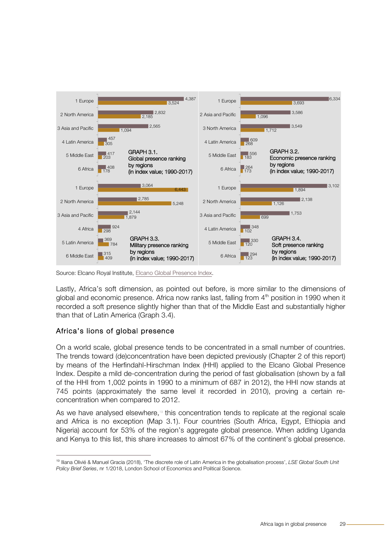<span id="page-25-0"></span>

Source: Elcano Royal Institute[, Elcano Global Presence Index.](http://www.globalpresence.realinstitutoelcano.org/en/)

Lastly, Africa's soft dimension, as pointed out before, is more similar to the dimensions of global and economic presence. Africa now ranks last, falling from  $4<sup>th</sup>$  position in 1990 when it recorded a soft presence slightly higher than that of the Middle East and substantially higher than that of Latin America (Graph 3.4).

#### Africa's lions of global presence

On a world scale, global presence tends to be concentrated in a small number of countries. The trends toward (de)concentration have been depicted previously (Chapter 2 of this report) by means of the Herfindahl-Hirschman Index (HHI) applied to the Elcano Global Presence Index. Despite a mild de-concentration during the period of fast globalisation (shown by a fall of the HHI from 1,002 points in 1990 to a minimum of 687 in 2012), the HHI now stands at 745 points (approximately the same level it recorded in 2010), proving a certain reconcentration when compared to 2012.

As we have analysed elsewhere, $19$  this concentration tends to replicate at the regional scale and Africa is no exception (Map 3.1). Four countries (South Africa, Egypt, Ethiopia and Nigeria) account for 53% of the region's aggregate global presence. When adding Uganda and Kenya to this list, this share increases to almost 67% of the continent's global presence.

 <sup>19</sup> Iliana Olivié & Manuel Gracia (2018), 'The discrete role of Latin America in the globalisation process', *LSE Global South Unit Policy Brief Series*, nr 1/2018, London School of Economics and Political Science.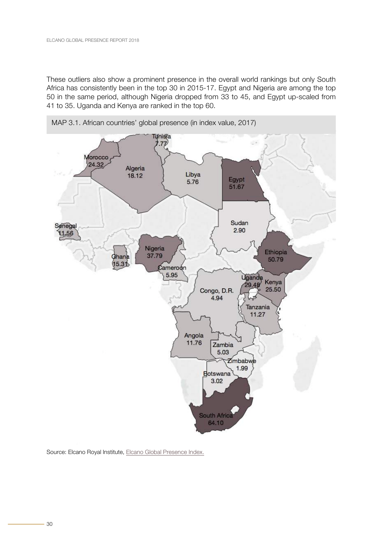<span id="page-26-0"></span>These outliers also show a prominent presence in the overall world rankings but only South Africa has consistently been in the top 30 in 2015-17. Egypt and Nigeria are among the top 50 in the same period, although Nigeria dropped from 33 to 45, and Egypt up-scaled from 41 to 35. Uganda and Kenya are ranked in the top 60.



Source: Elcano Royal Institute, [Elcano Global Presence Index.](http://www.globalpresence.realinstitutoelcano.org/en/)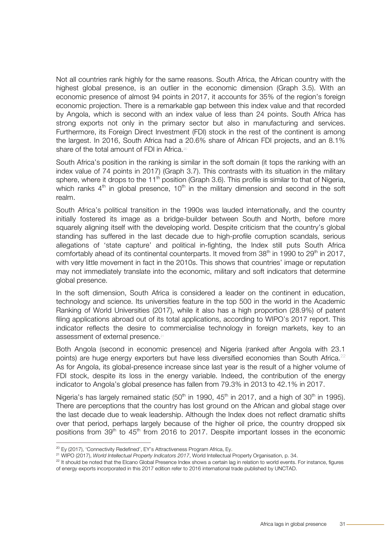Not all countries rank highly for the same reasons. South Africa, the African country with the highest global presence, is an outlier in the economic dimension (Graph 3.5). With an economic presence of almost 94 points in 2017, it accounts for 35% of the region's foreign economic projection. There is a remarkable gap between this index value and that recorded by Angola, which is second with an index value of less than 24 points. South Africa has strong exports not only in the primary sector but also in manufacturing and services. Furthermore, its Foreign Direct Investment (FDI) stock in the rest of the continent is among the largest. In 2016, South Africa had a 20.6% share of African FDI projects, and an 8.1% share of the total amount of FDI in Africa.<sup>20</sup>

South Africa's position in the ranking is similar in the soft domain (it tops the ranking with an index value of 74 points in 2017) (Graph 3.7). This contrasts with its situation in the military sphere, where it drops to the  $11<sup>th</sup>$  position (Graph 3.6). This profile is similar to that of Nigeria, which ranks  $4<sup>th</sup>$  in global presence, 10<sup>th</sup> in the military dimension and second in the soft realm.

South Africa's political transition in the 1990s was lauded internationally, and the country initially fostered its image as a bridge-builder between South and North, before more squarely aligning itself with the developing world. Despite criticism that the country's global standing has suffered in the last decade due to high-profile corruption scandals, serious allegations of 'state capture' and political in-fighting, the Index still puts South Africa comfortably ahead of its continental counterparts. It moved from  $38<sup>th</sup>$  in 1990 to 29<sup>th</sup> in 2017, with very little movement in fact in the 2010s. This shows that countries' image or reputation may not immediately translate into the economic, military and soft indicators that determine global presence.

In the soft dimension, South Africa is considered a leader on the continent in education, technology and science. Its universities feature in the top 500 in the world in the Academic Ranking of World Universities (2017), while it also has a high proportion (28.9%) of patent filing applications abroad out of its total applications, according to WIPO's 2017 report. This indicator reflects the desire to commercialise technology in foreign markets, key to an assessment of external presence.<sup>21</sup>

Both Angola (second in economic presence) and Nigeria (ranked after Angola with 23.1 points) are huge energy exporters but have less diversified economies than South Africa.<sup>22</sup> As for Angola, its global-presence increase since last year is the result of a higher volume of FDI stock, despite its loss in the energy variable. Indeed, the contribution of the energy indicator to Angola's global presence has fallen from 79.3% in 2013 to 42.1% in 2017.

Nigeria's has largely remained static  $(50<sup>th</sup>$  in 1990, 45<sup>th</sup> in 2017, and a high of 30<sup>th</sup> in 1995). There are perceptions that the country has lost ground on the African and global stage over the last decade due to weak leadership. Although the Index does not reflect dramatic shifts over that period, perhaps largely because of the higher oil price, the country dropped six positions from  $39<sup>th</sup>$  to  $45<sup>th</sup>$  from 2016 to 2017. Despite important losses in the economic

<sup>&</sup>lt;sup>20</sup> Ey (2017), 'Connectivity Redefined', EY's Attractiveness Program Africa, Ey.

<sup>21</sup> WIPO (2017), *World Intellectual Property Indicators 2017*, World Intellectual Property Organisation, p. 34.

 $22$  It should be noted that the Elcano Global Presence Index shows a certain lag in relation to world events. For instance, figures of energy exports incorporated in this 2017 edition refer to 2016 international trade published by UNCTAD.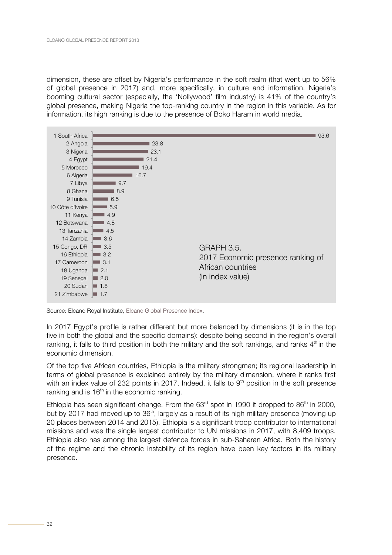<span id="page-28-0"></span>dimension, these are offset by Nigeria's performance in the soft realm (that went up to 56% of global presence in 2017) and, more specifically, in culture and information. Nigeria's booming cultural sector (especially, the 'Nollywood' film industry) is 41% of the country's global presence, making Nigeria the top-ranking country in the region in this variable. As for information, its high ranking is due to the presence of Boko Haram in world media.



Source: Elcano Royal Institute, [Elcano Global Presence Index.](http://www.globalpresence.realinstitutoelcano.org/en/)

In 2017 Egypt's profile is rather different but more balanced by dimensions (it is in the top five in both the global and the specific domains): despite being second in the region's overall ranking, it falls to third position in both the military and the soft rankings, and ranks  $4<sup>th</sup>$  in the economic dimension.

Of the top five African countries, Ethiopia is the military strongman; its regional leadership in terms of global presence is explained entirely by the military dimension, where it ranks first with an index value of 232 points in 2017. Indeed, it falls to  $9<sup>th</sup>$  position in the soft presence ranking and is  $16<sup>th</sup>$  in the economic ranking.

Ethiopia has seen significant change. From the  $63<sup>rd</sup>$  spot in 1990 it dropped to  $86<sup>th</sup>$  in 2000, but by 2017 had moved up to 36<sup>th</sup>, largely as a result of its high military presence (moving up 20 places between 2014 and 2015). Ethiopia is a significant troop contributor to international missions and was the single largest contributor to UN missions in 2017, with 8,409 troops. Ethiopia also has among the largest defence forces in sub-Saharan Africa. Both the history of the regime and the chronic instability of its region have been key factors in its military presence.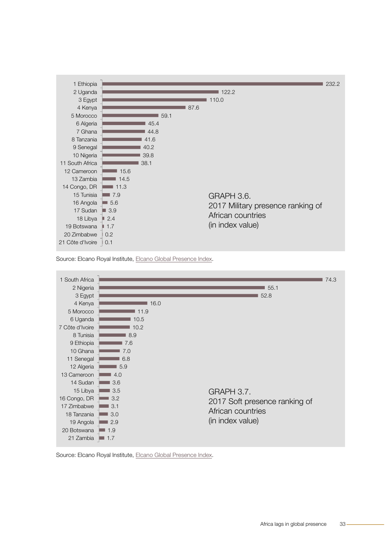<span id="page-29-0"></span>





Source: Elcano Royal Institute, [Elcano Global Presence Index.](http://www.globalpresence.realinstitutoelcano.org/en/)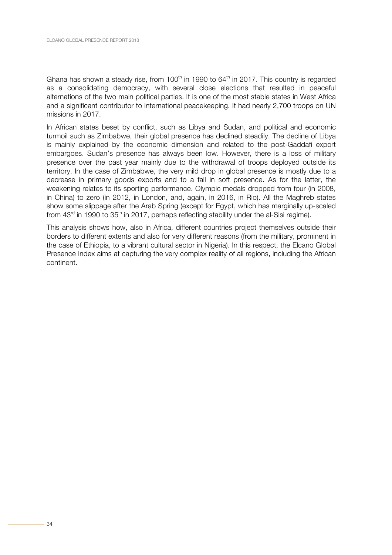Ghana has shown a steady rise, from 100<sup>th</sup> in 1990 to 64<sup>th</sup> in 2017. This country is regarded as a consolidating democracy, with several close elections that resulted in peaceful alternations of the two main political parties. It is one of the most stable states in West Africa and a significant contributor to international peacekeeping. It had nearly 2,700 troops on UN missions in 2017.

In African states beset by conflict, such as Libya and Sudan, and political and economic turmoil such as Zimbabwe, their global presence has declined steadily. The decline of Libya is mainly explained by the economic dimension and related to the post-Gaddafi export embargoes. Sudan's presence has always been low. However, there is a loss of military presence over the past year mainly due to the withdrawal of troops deployed outside its territory. In the case of Zimbabwe, the very mild drop in global presence is mostly due to a decrease in primary goods exports and to a fall in soft presence. As for the latter, the weakening relates to its sporting performance. Olympic medals dropped from four (in 2008, in China) to zero (in 2012, in London, and, again, in 2016, in Rio). All the Maghreb states show some slippage after the Arab Spring (except for Egypt, which has marginally up-scaled from  $43^{\text{rd}}$  in 1990 to  $35^{\text{th}}$  in 2017, perhaps reflecting stability under the al-Sisi regime).

This analysis shows how, also in Africa, different countries project themselves outside their borders to different extents and also for very different reasons (from the military, prominent in the case of Ethiopia, to a vibrant cultural sector in Nigeria). In this respect, the Elcano Global Presence Index aims at capturing the very complex reality of all regions, including the African continent.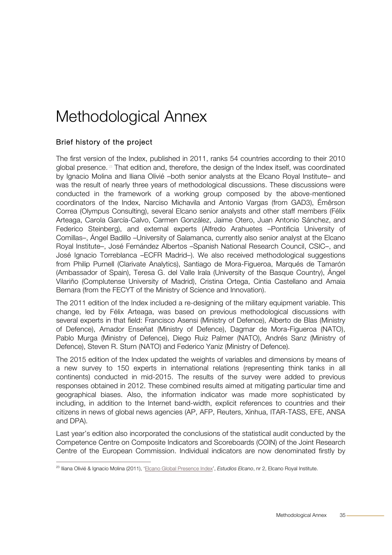### <span id="page-31-0"></span>Methodological Annex

#### Brief history of the project

The first version of the Index, published in 2011, ranks 54 countries according to their 2010 global presence.<sup>28</sup> That edition and, therefore, the design of the Index itself, was coordinated by Ignacio Molina and Iliana Olivié –both senior analysts at the Elcano Royal Institute– and was the result of nearly three years of methodological discussions. These discussions were conducted in the framework of a working group composed by the above-mentioned coordinators of the Index, Narciso Michavila and Antonio Vargas (from GAD3), Émêrson Correa (Olympus Consulting), several Elcano senior analysts and other staff members (Félix Arteaga, Carola García-Calvo, Carmen González, Jaime Otero, Juan Antonio Sánchez, and Federico Steinberg), and external experts (Alfredo Arahuetes –Pontificia University of Comillas–, Ángel Badillo –University of Salamanca, currently also senior analyst at the Elcano Royal Institute–, José Fernández Albertos –Spanish National Research Council, CSIC–, and José Ignacio Torreblanca –ECFR Madrid–). We also received methodological suggestions from Philip Purnell (Clarivate Analytics), Santiago de Mora-Figueroa, Marqués de Tamarón (Ambassador of Spain), Teresa G. del Valle Irala (University of the Basque Country), Ángel Vilariño (Complutense University of Madrid), Cristina Ortega, Cintia Castellano and Amaia Bernara (from the FECYT of the Ministry of Science and Innovation).

The 2011 edition of the Index included a re-designing of the military equipment variable. This change, led by Félix Arteaga, was based on previous methodological discussions with several experts in that field: Francisco Asensi (Ministry of Defence), Alberto de Blas (Ministry of Defence), Amador Enseñat (Ministry of Defence), Dagmar de Mora-Figueroa (NATO), Pablo Murga (Ministry of Defence), Diego Ruiz Palmer (NATO), Andrés Sanz (Ministry of Defence), Steven R. Sturn (NATO) and Federico Yaniz (Ministry of Defence).

The 2015 edition of the Index updated the weights of variables and dimensions by means of a new survey to 150 experts in international relations (representing think tanks in all continents) conducted in mid-2015. The results of the survey were added to previous responses obtained in 2012. These combined results aimed at mitigating particular time and geographical biases. Also, the information indicator was made more sophisticated by including, in addition to the Internet band-width, explicit references to countries and their citizens in news of global news agencies (AP, AFP, Reuters, Xinhua, ITAR-TASS, EFE, ANSA and DPA).

Last year's edition also incorporated the conclusions of the statistical audit conducted by the Competence Centre on Composite Indicators and Scoreboards (COIN) of the Joint Research Centre of the European Commission. Individual indicators are now denominated firstly by

 <sup>23</sup> Iliana Olivié & Ignacio Molina (2011), ['Elcano Global Presence Index',](http://www.globalpresence.realinstitutoelcano.org/media/31cf995cc87fc1aa79aeafa0a98ede7d.pdf) *Estudios Elcano*, nr 2, Elcano Royal Institute.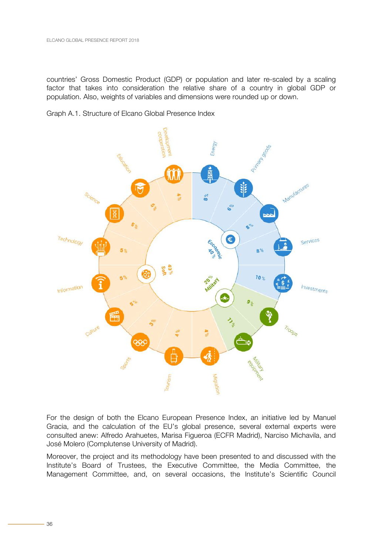<span id="page-32-0"></span>countries' Gross Domestic Product (GDP) or population and later re-scaled by a scaling factor that takes into consideration the relative share of a country in global GDP or population. Also, weights of variables and dimensions were rounded up or down.

Graph A.1. Structure of Elcano Global Presence Index



For the design of both the Elcano European Presence Index, an initiative led by Manuel Gracia, and the calculation of the EU's global presence, several external experts were consulted anew: Alfredo Arahuetes, Marisa Figueroa (ECFR Madrid), Narciso Michavila, and José Molero (Complutense University of Madrid).

Moreover, the project and its methodology have been presented to and discussed with the Institute's Board of Trustees, the Executive Committee, the Media Committee, the Management Committee, and, on several occasions, the Institute's Scientific Council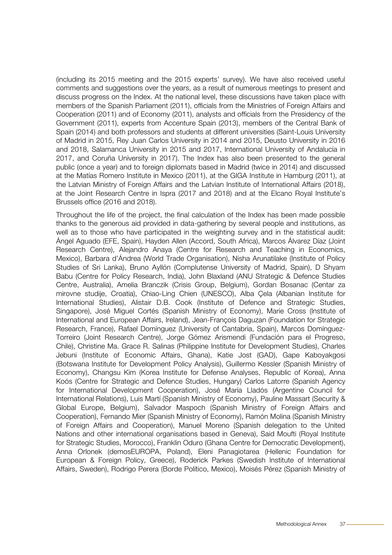(including its 2015 meeting and the 2015 experts' survey). We have also received useful comments and suggestions over the years, as a result of numerous meetings to present and discuss progress on the Index. At the national level, these discussions have taken place with members of the Spanish Parliament (2011), officials from the Ministries of Foreign Affairs and Cooperation (2011) and of Economy (2011), analysts and officials from the Presidency of the Government (2011), experts from Accenture Spain (2013), members of the Central Bank of Spain (2014) and both professors and students at different universities (Saint-Louis University of Madrid in 2015, Rey Juan Carlos University in 2014 and 2015, Deusto University in 2016 and 2018, Salamanca University in 2015 and 2017, International University of Andalucía in 2017, and Coruña University in 2017). The Index has also been presented to the general public (once a year) and to foreign diplomats based in Madrid (twice in 2014) and discussed at the Matías Romero Institute in Mexico (2011), at the GIGA Institute in Hamburg (2011), at the Latvian Ministry of Foreign Affairs and the Latvian Institute of International Affairs (2018), at the Joint Research Centre in Ispra (2017 and 2018) and at the Elcano Royal Institute's Brussels office (2016 and 2018).

Throughout the life of the project, the final calculation of the Index has been made possible thanks to the generous aid provided in data-gathering by several people and institutions, as well as to those who have participated in the weighting survey and in the statistical audit: Ángel Aguado (EFE, Spain), Hayden Allen (Accord, South Africa), Marcos Álvarez Díaz (Joint Research Centre), Alejandro Anaya (Centre for Research and Teaching in Economics, Mexico), Barbara d'Ándrea (World Trade Organisation), Nisha Arunatilake (Institute of Policy Studies of Sri Lanka), Bruno Ayllón (Complutense University of Madrid, Spain), D Shyam Babu (Centre for Policy Research, India), John Blaxland (ANU Strategic & Defence Studies Centre, Australia), Amelia Branczik (Crisis Group, Belgium), Gordan Bosanac (Centar za mirovne studije, Croatia), Chiao-Ling Chien (UNESCO), Alba Çela (Albanian Institute for International Studies), Alistair D.B. Cook (Institute of Defence and Strategic Studies, Singapore), José Miguel Cortés (Spanish Ministry of Economy), Marie Cross (Institute of International and European Affairs, Ireland), Jean-François Daguzan (Foundation for Strategic Research, France), Rafael Domínguez (University of Cantabria, Spain), Marcos Domínguez-Torreiro (Joint Research Centre), Jorge Gómez Arismendi (Fundación para el Progreso, Chile), Christine Ma. Grace R. Salinas (Philippine Institute for Development Studies), Charles Jebuni (Institute of Economic Affairs, Ghana), Katie Jost (GAD), Gape Kaboyakgosi (Botswana Institute for Development Policy Analysis), Guillermo Kessler (Spanish Ministry of Economy), Changsu Kim (Korea Institute for Defense Analyses, Republic of Korea), Anna Koós (Centre for Strategic and Defence Studies, Hungary) Carlos Latorre (Spanish Agency for International Development Cooperation), José María Lladós (Argentine Council for International Relations), Luis Martí (Spanish Ministry of Economy), Pauline Massart (Security & Global Europe, Belgium), Salvador Maspoch (Spanish Ministry of Foreign Affairs and Cooperation), Fernando Mier (Spanish Ministry of Economy), Ramón Molina (Spanish Ministry of Foreign Affairs and Cooperation), Manuel Moreno (Spanish delegation to the United Nations and other international organisations based in Geneva), Said Moufti (Royal Institute for Strategic Studies, Morocco), Franklin Oduro (Ghana Centre for Democratic Development), Anna Orlonek (demosEUROPA, Poland), Eleni Panagiotarea (Hellenic Foundation for European & Foreign Policy, Greece), Roderick Parkes (Swedish Institute of International Affairs, Sweden), Rodrigo Perera (Borde Político, Mexico), Moisés Pérez (Spanish Ministry of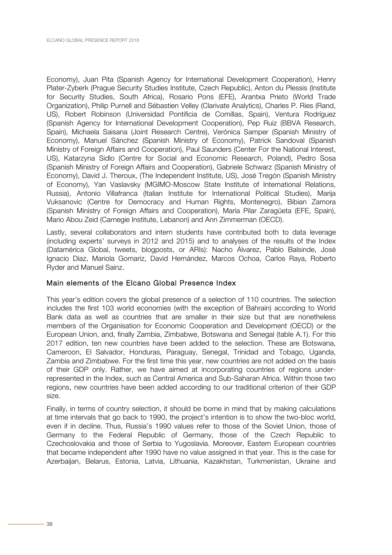Economy), Juan Pita (Spanish Agency for International Development Cooperation), Henry Plater-Zyberk (Prague Security Studies Institute, Czech Republic), Anton du Plessis (Institute for Security Studies, South Africa), Rosario Pons (EFE), Arantxa Prieto (World Trade Organization), Philip Purnell and Sébastien Velley (Clarivate Analytics), Charles P. Ries (Rand, US), Robert Robinson (Universidad Pontificia de Comillas, Spain), Ventura Rodríguez (Spanish Agency for International Development Cooperation), Pep Ruiz (BBVA Research, Spain), Michaela Saisana (Joint Research Centre), Verónica Samper (Spanish Ministry of Economy), Manuel Sánchez (Spanish Ministry of Economy), Patrick Sandoval (Spanish Ministry of Foreign Affairs and Cooperation), Paul Saunders (Center For the National Interest, US), Katarzyna Sidlo (Centre for Social and Economic Research, Poland), Pedro Sosa (Spanish Ministry of Foreign Affairs and Cooperation), Gabriele Schwarz (Spanish Ministry of Economy), David J. Theroux, (The Independent Institute, US), José Tregón (Spanish Ministry of Economy), Yan Vaslavsky (MGIMO-Moscow State Institute of International Relations, Russia), Antonio Villafranca (Italian Institute for International Political Studies), Marija Vuksanovic (Centre for Democracy and Human Rights, Montenegro), Bibian Zamora (Spanish Ministry of Foreign Affairs and Cooperation), María Pilar Zaragüeta (EFE, Spain), Mario Abou Zeid (Carnegie Institute, Lebanon) and Ann Zimmerman (OECD).

Lastly, several collaborators and intern students have contributed both to data leverage (including experts' surveys in 2012 and 2015) and to analyses of the results of the Index (Datamérica Global, tweets, blogposts, or ARIs): Nacho Álvarez, Pablo Balsinde, José Ignacio Díaz, Mariola Gomariz, David Hernández, Marcos Ochoa, Carlos Raya, Roberto Ryder and Manuel Sainz.

#### Main elements of the Elcano Global Presence Index

This year's edition covers the global presence of a selection of 110 countries. The selection includes the first 103 world economies (with the exception of Bahrain) according to World Bank data as well as countries that are smaller in their size but that are nonetheless members of the Organisation for Economic Cooperation and Development (OECD) or the European Union, and, finally Zambia, Zimbabwe, Botswana and Senegal (table A.1). For this 2017 edition, ten new countries have been added to the selection. These are Botswana, Cameroon, El Salvador, Honduras, Paraguay, Senegal, Trinidad and Tobago, Uganda, Zambia and Zimbabwe. For the first time this year, new countries are not added on the basis of their GDP only. Rather, we have aimed at incorporating countries of regions underrepresented in the Index, such as Central America and Sub-Saharan Africa. Within those two regions, new countries have been added according to our traditional criterion of their GDP size.

Finally, in terms of country selection, it should be borne in mind that by making calculations at time intervals that go back to 1990, the project's intention is to show the two-bloc world, even if in decline. Thus, Russia's 1990 values refer to those of the Soviet Union, those of Germany to the Federal Republic of Germany, those of the Czech Republic to Czechoslovakia and those of Serbia to Yugoslavia. Moreover, Eastern European countries that became independent after 1990 have no value assigned in that year. This is the case for Azerbaijan, Belarus, Estonia, Latvia, Lithuania, Kazakhstan, Turkmenistan, Ukraine and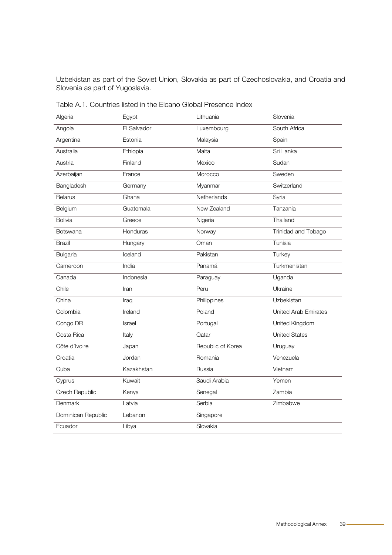<span id="page-35-0"></span>Uzbekistan as part of the Soviet Union, Slovakia as part of Czechoslovakia, and Croatia and Slovenia as part of Yugoslavia.

| Algeria            | Egypt         | Lithuania         | Slovenia                    |
|--------------------|---------------|-------------------|-----------------------------|
| Angola             | El Salvador   | Luxembourg        | South Africa                |
| Argentina          | Estonia       | Malaysia          | Spain                       |
| Australia          | Ethiopia      | Malta             | Sri Lanka                   |
| Austria            | Finland       | Mexico            | Sudan                       |
| Azerbaijan         | France        | Morocco           | Sweden                      |
| Bangladesh         | Germany       | Myanmar           | Switzerland                 |
| <b>Belarus</b>     | Ghana         | Netherlands       | Syria                       |
| Belgium            | Guatemala     | New Zealand       | Tanzania                    |
| <b>Bolivia</b>     | Greece        | Nigeria           | Thailand                    |
| Botswana           | Honduras      | Norway            | Trinidad and Tobago         |
| <b>Brazil</b>      | Hungary       | Oman              | Tunisia                     |
| Bulgaria           | Iceland       | Pakistan          | Turkey                      |
| Cameroon           | India         | Panamá            | Turkmenistan                |
| Canada             | Indonesia     | Paraguay          | Uganda                      |
| Chile              | Iran          | Peru              | Ukraine                     |
| China              | Iraq          | Philippines       | Uzbekistan                  |
| Colombia           | Ireland       | Poland            | <b>United Arab Emirates</b> |
| Congo DR           | <b>Israel</b> | Portugal          | United Kingdom              |
| Costa Rica         | Italy         | Qatar             | <b>United States</b>        |
| Côte d'Ivoire      | Japan         | Republic of Korea | Uruguay                     |
| Croatia            | Jordan        | Romania           | Venezuela                   |
| Cuba               | Kazakhstan    | Russia            | Vietnam                     |
| Cyprus             | Kuwait        | Saudi Arabia      | Yemen                       |
| Czech Republic     | Kenya         | Senegal           | Zambia                      |
| Denmark            | Latvia        | Serbia            | Zimbabwe                    |
| Dominican Republic | Lebanon       | Singapore         |                             |
| Ecuador            | Libya         | Slovakia          |                             |

Table A.1. Countries listed in the Elcano Global Presence Index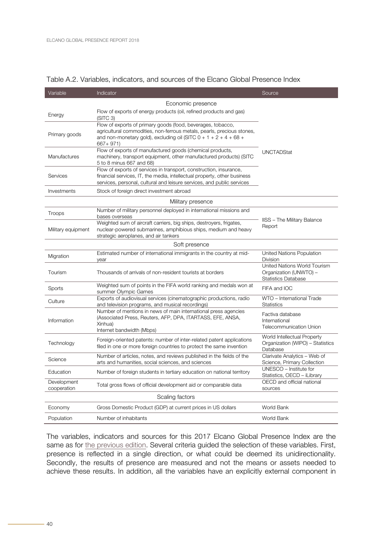| Variable                   | Indicator                                                                                                                                                                                                                | Source                                                                               |
|----------------------------|--------------------------------------------------------------------------------------------------------------------------------------------------------------------------------------------------------------------------|--------------------------------------------------------------------------------------|
|                            | Economic presence                                                                                                                                                                                                        |                                                                                      |
| Energy                     | Flow of exports of energy products (oil, refined products and gas)<br>(SITC <sub>3</sub> )                                                                                                                               |                                                                                      |
| Primary goods              | Flow of exports of primary goods (food, beverages, tobacco,<br>agricultural commodities, non-ferrous metals, pearls, precious stones,<br>and non-monetary gold), excluding oil (SITC $0 + 1 + 2 + 4 + 68 +$<br>667+971)  |                                                                                      |
| Manufactures               | Flow of exports of manufactured goods (chemical products,<br>machinery, transport equipment, other manufactured products) (SITC<br>5 to 8 minus 667 and 68)                                                              | <b>UNCTADStat</b>                                                                    |
| Services                   | Flow of exports of services in transport, construction, insurance,<br>financial services, IT, the media, intellectual property, other business<br>services, personal, cultural and leisure services, and public services |                                                                                      |
| Investments                | Stock of foreign direct investment abroad                                                                                                                                                                                |                                                                                      |
|                            | Military presence                                                                                                                                                                                                        |                                                                                      |
| Troops                     | Number of military personnel deployed in international missions and<br>bases overseas                                                                                                                                    |                                                                                      |
| Military equipment         | Weighted sum of aircraft carriers, big ships, destroyers, frigates,<br>nuclear-powered submarines, amphibious ships, medium and heavy<br>strategic aeroplanes, and air tankers                                           | <b>IISS - The Military Balance</b><br>Report                                         |
|                            | Soft presence                                                                                                                                                                                                            |                                                                                      |
| Migration                  | Estimated number of international immigrants in the country at mid-<br>year                                                                                                                                              | United Nations Population<br><b>Division</b>                                         |
| Tourism                    | Thousands of arrivals of non-resident tourists at borders                                                                                                                                                                | United Nations World Tourism<br>Organization (UNWTO) -<br><b>Statistics Database</b> |
| Sports                     | Weighted sum of points in the FIFA world ranking and medals won at<br>summer Olympic Games                                                                                                                               | FIFA and IOC                                                                         |
| Culture                    | Exports of audiovisual services (cinematographic productions, radio<br>and television programs, and musical recordings)                                                                                                  | WTO - International Trade<br><b>Statistics</b>                                       |
| Information                | Number of mentions in news of main international press agencies<br>(Associated Press, Reuters, AFP, DPA, ITARTASS, EFE, ANSA,<br>Xinhua)<br>Internet bandwidth (Mbps)                                                    | Factiva database<br>International<br><b>Telecommunication Union</b>                  |
| Technology                 | Foreign-oriented patents: number of inter-related patent applications<br>filed in one or more foreign countries to protect the same invention                                                                            | World Intellectual Property<br>Organization (WIPO) - Statistics<br>Database          |
| Science                    | Number of articles, notes, and reviews published in the fields of the<br>arts and humanities, social sciences, and sciences                                                                                              | Clarivate Analytics - Web of<br>Science, Primary Collection                          |
| Education                  | Number of foreign students in tertiary education on national territory                                                                                                                                                   | UNESCO - Institute for<br>Statistics, OECD - iLibrary                                |
| Development<br>cooperation | Total gross flows of official development aid or comparable data                                                                                                                                                         | OECD and official national<br>sources                                                |
|                            | Scaling factors                                                                                                                                                                                                          |                                                                                      |
| Economy                    | Gross Domestic Product (GDP) at current prices in US dollars                                                                                                                                                             | World Bank                                                                           |
| Population                 | Number of inhabitants                                                                                                                                                                                                    | World Bank                                                                           |

#### <span id="page-36-0"></span>Table A.2. Variables, indicators, and sources of the Elcano Global Presence Index

The variables, indicators and sources for this 2017 Elcano Global Presence Index are the same as for [the previous edition.](http://www.realinstitutoelcano.org/wps/portal/rielcano_en/publication?WCM_GLOBAL_CONTEXT=/elcano/elcano_in/publications/elcano-global-presence-report-2017) Several criteria guided the selection of these variables. First, presence is reflected in a single direction, or what could be deemed its unidirectionality. Secondly, the results of presence are measured and not the means or assets needed to achieve these results. In addition, all the variables have an explicitly external component in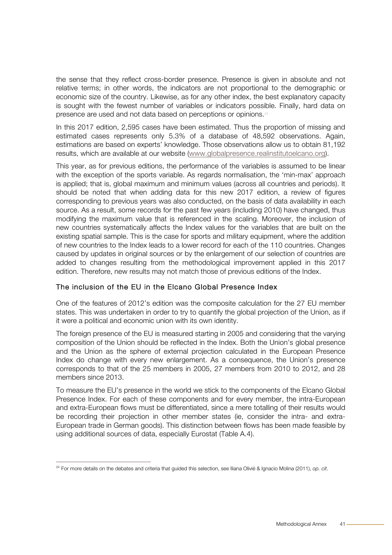the sense that they reflect cross-border presence. Presence is given in absolute and not relative terms; in other words, the indicators are not proportional to the demographic or economic size of the country. Likewise, as for any other index, the best explanatory capacity is sought with the fewest number of variables or indicators possible. Finally, hard data on presence are used and not data based on perceptions or opinions.<sup>24</sup>

In this 2017 edition, 2,595 cases have been estimated. Thus the proportion of missing and estimated cases represents only 5.3% of a database of 48,592 observations. Again, estimations are based on experts' knowledge. Those observations allow us to obtain 81,192 results, which are available at our website [\(www.globalpresence.realinstitutoelcano.org\).](http://www.globalpresence.realinstitutoelcano.org/en/)

This year, as for previous editions, the performance of the variables is assumed to be linear with the exception of the sports variable. As regards normalisation, the 'min-max' approach is applied; that is, global maximum and minimum values (across all countries and periods). It should be noted that when adding data for this new 2017 edition, a review of figures corresponding to previous years was also conducted, on the basis of data availability in each source. As a result, some records for the past few years (including 2010) have changed, thus modifying the maximum value that is referenced in the scaling. Moreover, the inclusion of new countries systematically affects the Index values for the variables that are built on the existing spatial sample. This is the case for sports and military equipment, where the addition of new countries to the Index leads to a lower record for each of the 110 countries. Changes caused by updates in original sources or by the enlargement of our selection of countries are added to changes resulting from the methodological improvement applied in this 2017 edition. Therefore, new results may not match those of previous editions of the Index.

#### The inclusion of the EU in the Elcano Global Presence Index

One of the features of 2012's edition was the composite calculation for the 27 EU member states. This was undertaken in order to try to quantify the global projection of the Union, as if it were a political and economic union with its own identity.

The foreign presence of the EU is measured starting in 2005 and considering that the varying composition of the Union should be reflected in the Index. Both the Union's global presence and the Union as the sphere of external projection calculated in the European Presence Index do change with every new enlargement. As a consequence, the Union's presence corresponds to that of the 25 members in 2005, 27 members from 2010 to 2012, and 28 members since 2013.

To measure the EU's presence in the world we stick to the components of the Elcano Global Presence Index. For each of these components and for every member, the intra-European and extra-European flows must be differentiated, since a mere totalling of their results would be recording their projection in other member states (ie, consider the intra- and extra-European trade in German goods). This distinction between flows has been made feasible by using additional sources of data, especially Eurostat (Table A.4).

 <sup>24</sup> For more details on the debates and criteria that guided this selection, see Iliana Olivié & Ignacio Molina (2011), *op. cit*.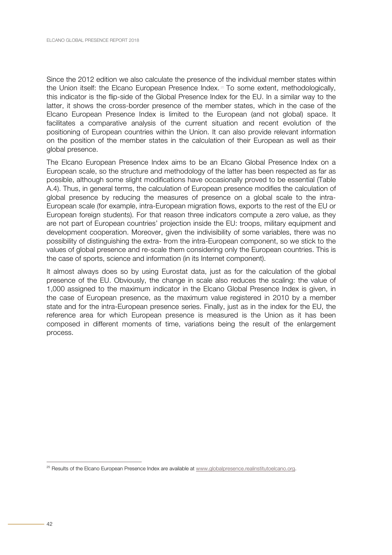Since the 2012 edition we also calculate the presence of the individual member states within the Union itself: the Elcano European Presence Index.<sup>26</sup> To some extent, methodologically, this indicator is the flip-side of the Global Presence Index for the EU. In a similar way to the latter, it shows the cross-border presence of the member states, which in the case of the Elcano European Presence Index is limited to the European (and not global) space. It facilitates a comparative analysis of the current situation and recent evolution of the positioning of European countries within the Union. It can also provide relevant information on the position of the member states in the calculation of their European as well as their global presence.

The Elcano European Presence Index aims to be an Elcano Global Presence Index on a European scale, so the structure and methodology of the latter has been respected as far as possible, although some slight modifications have occasionally proved to be essential (Table A.4). Thus, in general terms, the calculation of European presence modifies the calculation of global presence by reducing the measures of presence on a global scale to the intra-European scale (for example, intra-European migration flows, exports to the rest of the EU or European foreign students). For that reason three indicators compute a zero value, as they are not part of European countries' projection inside the EU: troops, military equipment and development cooperation. Moreover, given the indivisibility of some variables, there was no possibility of distinguishing the extra- from the intra-European component, so we stick to the values of global presence and re-scale them considering only the European countries. This is the case of sports, science and information (in its Internet component).

It almost always does so by using Eurostat data, just as for the calculation of the global presence of the EU. Obviously, the change in scale also reduces the scaling: the value of 1,000 assigned to the maximum indicator in the Elcano Global Presence Index is given, in the case of European presence, as the maximum value registered in 2010 by a member state and for the intra-European presence series. Finally, just as in the index for the EU, the reference area for which European presence is measured is the Union as it has been composed in different moments of time, variations being the result of the enlargement process.

<sup>&</sup>lt;sup>25</sup> Results of the Elcano European Presence Index are available at [www.globalpresence.realinstitutoelcano.org.](http://www.globalpresence.realinstitutoelcano.org/en/)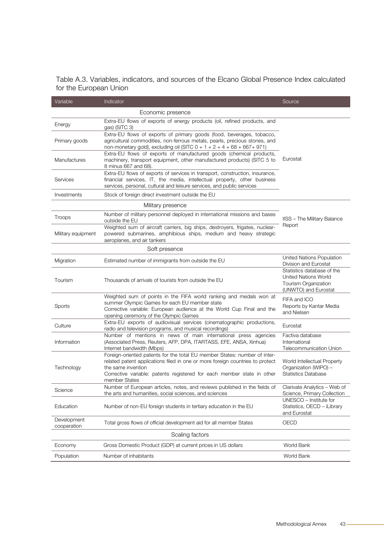<span id="page-39-0"></span>

|                        | Table A.3. Variables, indicators, and sources of the Elcano Global Presence Index calculated |  |  |  |  |  |
|------------------------|----------------------------------------------------------------------------------------------|--|--|--|--|--|
| for the European Union |                                                                                              |  |  |  |  |  |

| Variable                   | Indicator                                                                                                                                                                                                                                                                   | Source                                                                                             |
|----------------------------|-----------------------------------------------------------------------------------------------------------------------------------------------------------------------------------------------------------------------------------------------------------------------------|----------------------------------------------------------------------------------------------------|
|                            | Economic presence                                                                                                                                                                                                                                                           |                                                                                                    |
| Energy                     | Extra-EU flows of exports of energy products (oil, refined products, and<br>gas) (SITC 3)                                                                                                                                                                                   |                                                                                                    |
| Primary goods              | Extra-EU flows of exports of primary goods (food, beverages, tobacco,<br>agricultural commodities, non-ferrous metals, pearls, precious stones, and<br>non-monetary gold), excluding oil (SITC $0 + 1 + 2 + 4 + 68 + 667 + 971$ )                                           |                                                                                                    |
| Manufactures               | Extra-EU flows of exports of manufactured goods (chemical products,<br>machinery, transport equipment, other manufactured products) (SITC 5 to<br>8 minus 667 and 68).                                                                                                      | Eurostat                                                                                           |
| Services                   | Extra-EU flows of exports of services in transport, construction, insurance,<br>financial services, IT, the media, intellectual property, other business<br>services, personal, cultural and leisure services, and public services                                          |                                                                                                    |
| Investments                | Stock of foreign direct investment outside the EU                                                                                                                                                                                                                           |                                                                                                    |
|                            | Military presence                                                                                                                                                                                                                                                           |                                                                                                    |
| Troops                     | Number of military personnel deployed in international missions and bases<br>outside the EU                                                                                                                                                                                 | <b>IISS - The Military Balance</b>                                                                 |
| Military equipment         | Weighted sum of aircraft carriers, big ships, destroyers, frigates, nuclear-<br>powered submarines, amphibious ships, medium and heavy strategic<br>aeroplanes, and air tankers                                                                                             | Report                                                                                             |
|                            | Soft presence                                                                                                                                                                                                                                                               |                                                                                                    |
| Migration                  | Estimated number of immigrants from outside the EU                                                                                                                                                                                                                          | United Nations Population<br>Division and Eurostat                                                 |
| Tourism                    | Thousands of arrivals of tourists from outside the EU                                                                                                                                                                                                                       | Statistics database of the<br>United Nations World<br>Tourism Organization<br>(UNWTO) and Eurostat |
| Sports                     | Weighted sum of points in the FIFA world ranking and medals won at<br>summer Olympic Games for each EU member state<br>Corrective variable: European audience at the World Cup Final and the<br>opening ceremony of the Olympic Games                                       | FIFA and ICO<br>Reports by Kantar Media<br>and Nielsen                                             |
| Culture                    | Extra-EU exports of audiovisual services (cinematographic productions,<br>radio and television programs, and musical recordings)                                                                                                                                            | Eurostat                                                                                           |
| Information                | Number of mentions in news of main international press agencies<br>(Associated Press, Reuters, AFP, DPA, ITARTASS, EFE, ANSA, Xinhua)<br>Internet bandwidth (Mbps)                                                                                                          | Factiva database<br>International<br><b>Telecommunication Union</b>                                |
| Technology                 | Foreign-oriented patents for the total EU member States: number of inter-<br>related patent applications filed in one or more foreign countries to protect<br>the same invention<br>Corrective variable: patents registered for each member state in other<br>member States | World Intellectual Property<br>Organization (WIPO) -<br><b>Statistics Database</b>                 |
| Science                    | Number of European articles, notes, and reviews published in the fields of<br>the arts and humanities, social sciences, and sciences                                                                                                                                        | Clarivate Analytics - Web of<br>Science, Primary Collection                                        |
| Education                  | Number of non-EU foreign students in tertiary education in the EU                                                                                                                                                                                                           | UNESCO - Institute for<br>Statistics, OECD - iLibrary<br>and Eurostat                              |
| Development<br>cooperation | Total gross flows of official development aid for all member States                                                                                                                                                                                                         | OECD                                                                                               |
|                            | Scaling factors                                                                                                                                                                                                                                                             |                                                                                                    |
| Economy                    | Gross Domestic Product (GDP) at current prices in US dollars                                                                                                                                                                                                                | World Bank                                                                                         |
| Population                 | Number of inhabitants                                                                                                                                                                                                                                                       | World Bank                                                                                         |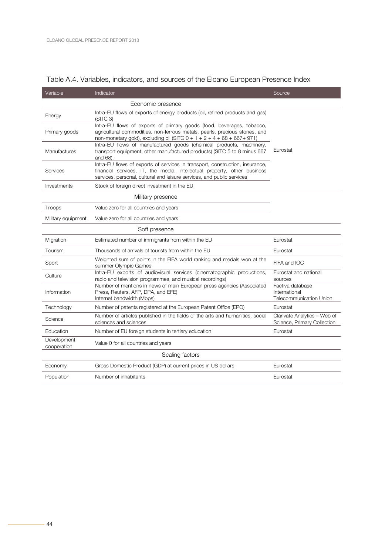| Variable                   | Indicator                                                                                                                                                                                                                          | Source                                                              |
|----------------------------|------------------------------------------------------------------------------------------------------------------------------------------------------------------------------------------------------------------------------------|---------------------------------------------------------------------|
|                            | Economic presence                                                                                                                                                                                                                  |                                                                     |
| Energy                     | Intra-EU flows of exports of energy products (oil, refined products and gas)<br>(SITC <sub>3</sub> )                                                                                                                               |                                                                     |
| Primary goods              | Intra-EU flows of exports of primary goods (food, beverages, tobacco,<br>agricultural commodities, non-ferrous metals, pearls, precious stones, and<br>non-monetary gold), excluding oil (SITC $0 + 1 + 2 + 4 + 68 + 667 + 971$ )  |                                                                     |
| Manufactures               | Intra-EU flows of manufactured goods (chemical products, machinery,<br>transport equipment, other manufactured products) (SITC 5 to 8 minus 667<br>and 68).                                                                        | Eurostat                                                            |
| Services                   | Intra-EU flows of exports of services in transport, construction, insurance,<br>financial services, IT, the media, intellectual property, other business<br>services, personal, cultural and leisure services, and public services |                                                                     |
| Investments                | Stock of foreign direct investment in the EU                                                                                                                                                                                       |                                                                     |
|                            | Military presence                                                                                                                                                                                                                  |                                                                     |
| Troops                     | Value zero for all countries and years                                                                                                                                                                                             |                                                                     |
| Military equipment         | Value zero for all countries and years                                                                                                                                                                                             |                                                                     |
|                            | Soft presence                                                                                                                                                                                                                      |                                                                     |
| Migration                  | Estimated number of immigrants from within the EU                                                                                                                                                                                  | Eurostat                                                            |
| Tourism                    | Thousands of arrivals of tourists from within the EU                                                                                                                                                                               | Eurostat                                                            |
| Sport                      | Weighted sum of points in the FIFA world ranking and medals won at the<br>summer Olympic Games                                                                                                                                     | FIFA and IOC                                                        |
| Culture                    | Intra-EU exports of audiovisual services (cinematographic productions,<br>radio and television programmes, and musical recordings)                                                                                                 | Eurostat and national<br>sources                                    |
| Information                | Number of mentions in news of main European press agencies (Associated<br>Press, Reuters, AFP, DPA, and EFE)<br>Internet bandwidth (Mbps)                                                                                          | Factiva database<br>International<br><b>Telecommunication Union</b> |
| Technology                 | Number of patents registered at the European Patent Office (EPO)                                                                                                                                                                   | Eurostat                                                            |
| Science                    | Number of articles published in the fields of the arts and humanities, social<br>sciences and sciences                                                                                                                             | Clarivate Analytics - Web of<br>Science, Primary Collection         |
| Education                  | Number of EU foreign students in tertiary education                                                                                                                                                                                | Eurostat                                                            |
| Development<br>cooperation | Value 0 for all countries and years                                                                                                                                                                                                |                                                                     |
|                            | Scaling factors                                                                                                                                                                                                                    |                                                                     |
| Economy                    | Gross Domestic Product (GDP) at current prices in US dollars                                                                                                                                                                       | Eurostat                                                            |
| Population                 | Number of inhabitants                                                                                                                                                                                                              | Eurostat                                                            |
|                            |                                                                                                                                                                                                                                    |                                                                     |

#### <span id="page-40-0"></span>Table A.4. Variables, indicators, and sources of the Elcano European Presence Index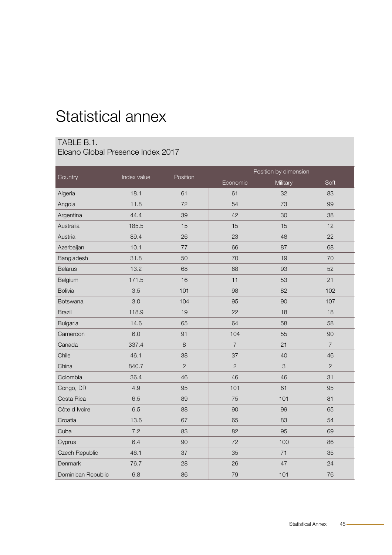## <span id="page-41-0"></span>Statistical annex

#### TABLE B.1.

Elcano Global Presence Index 2017

|                    | Index value | Position       | Position by dimension |          |                |  |
|--------------------|-------------|----------------|-----------------------|----------|----------------|--|
| Country            |             |                | Economic              | Military | Soft           |  |
| Algeria            | 18.1        | 61             | 61                    | 32       | 83             |  |
| Angola             | 11.8        | 72             | 54                    | 73       | 99             |  |
| Argentina          | 44.4        | 39             | 42                    | 30       | 38             |  |
| Australia          | 185.5       | 15             | 15                    | 15       | 12             |  |
| Austria            | 89.4        | 26             | 23                    | 48       | 22             |  |
| Azerbaijan         | 10.1        | 77             | 66                    | 87       | 68             |  |
| Bangladesh         | 31.8        | 50             | 70                    | 19       | 70             |  |
| <b>Belarus</b>     | 13.2        | 68             | 68                    | 93       | 52             |  |
| Belgium            | 171.5       | 16             | 11                    | 53       | 21             |  |
| <b>Bolivia</b>     | 3.5         | 101            | 98                    | 82       | 102            |  |
| <b>Botswana</b>    | 3.0         | 104            | 95                    | 90       | 107            |  |
| <b>Brazil</b>      | 118.9       | 19             | 22                    | 18       | 18             |  |
| <b>Bulgaria</b>    | 14.6        | 65             | 64                    | 58       | 58             |  |
| Cameroon           | 6.0         | 91             | 104                   | 55       | 90             |  |
| Canada             | 337.4       | $\,8\,$        | $\overline{7}$        | 21       | $\overline{7}$ |  |
| Chile              | 46.1        | 38             | 37                    | 40       | 46             |  |
| China              | 840.7       | $\overline{2}$ | $\overline{2}$        | 3        | $\overline{2}$ |  |
| Colombia           | 36.4        | 46             | 46                    | 46       | 31             |  |
| Congo, DR          | 4.9         | 95             | 101                   | 61       | 95             |  |
| Costa Rica         | 6.5         | 89             | 75                    | 101      | 81             |  |
| Côte d'Ivoire      | 6.5         | 88             | 90                    | 99       | 65             |  |
| Croatia            | 13.6        | 67             | 65                    | 83       | 54             |  |
| Cuba               | 7.2         | 83             | 82                    | 95       | 69             |  |
| Cyprus             | 6.4         | 90             | 72                    | 100      | 86             |  |
| Czech Republic     | 46.1        | 37             | 35                    | 71       | 35             |  |
| Denmark            | 76.7        | 28             | 26                    | 47       | 24             |  |
| Dominican Republic | 6.8         | 86             | 79                    | 101      | 76             |  |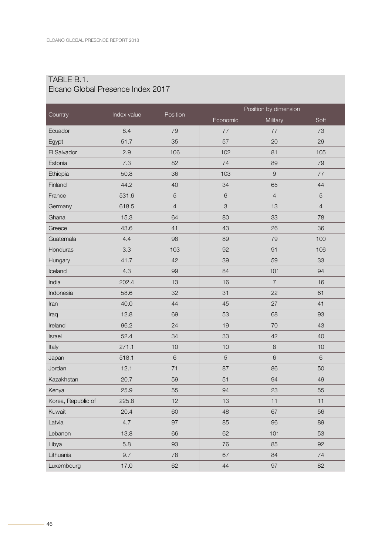|                    |             |                | Position by dimension |                     |                |
|--------------------|-------------|----------------|-----------------------|---------------------|----------------|
| Country            | Index value | Position       | Economic              | Military            | Soft           |
| Ecuador            | 8.4         | 79             | 77                    | 77                  | 73             |
| Egypt              | 51.7        | 35             | 57                    | 20                  | 29             |
| El Salvador        | 2.9         | 106            | 102                   | 81                  | 105            |
| Estonia            | 7.3         | 82             | 74                    | 89                  | 79             |
| Ethiopia           | 50.8        | 36             | 103                   | $\mathcal{G}% _{0}$ | 77             |
| Finland            | 44.2        | 40             | 34                    | 65                  | 44             |
| France             | 531.6       | $\mathbf 5$    | 6                     | $\overline{4}$      | 5              |
| Germany            | 618.5       | $\overline{4}$ | 3                     | 13                  | $\overline{4}$ |
| Ghana              | 15.3        | 64             | 80                    | 33                  | 78             |
| Greece             | 43.6        | 41             | 43                    | 26                  | 36             |
| Guatemala          | 4.4         | 98             | 89                    | 79                  | 100            |
| Honduras           | 3.3         | 103            | 92                    | 91                  | 106            |
| Hungary            | 41.7        | 42             | 39                    | 59                  | 33             |
| Iceland            | 4.3         | 99             | 84                    | 101                 | 94             |
| India              | 202.4       | 13             | 16                    | $\overline{7}$      | 16             |
| Indonesia          | 58.6        | 32             | 31                    | 22                  | 61             |
| Iran               | 40.0        | 44             | 45                    | 27                  | 41             |
| Iraq               | 12.8        | 69             | 53                    | 68                  | 93             |
| Ireland            | 96.2        | 24             | 19                    | 70                  | 43             |
| Israel             | 52.4        | 34             | 33                    | 42                  | 40             |
| Italy              | 271.1       | 10             | 10                    | $\,8\,$             | 10             |
| Japan              | 518.1       | 6              | 5                     | $\sqrt{6}$          | 6              |
| Jordan             | 12.1        | 71             | 87                    | 86                  | 50             |
| Kazakhstan         | 20.7        | 59             | 51                    | 94                  | 49             |
| Kenya              | 25.9        | 55             | 94                    | 23                  | 55             |
| Korea, Republic of | 225.8       | 12             | 13                    | 11                  | 11             |
| Kuwait             | 20.4        | 60             | 48                    | 67                  | 56             |
| Latvia             | 4.7         | 97             | 85                    | 96                  | 89             |
| Lebanon            | 13.8        | 66             | 62                    | 101                 | 53             |
| Libya              | 5.8         | 93             | 76                    | 85                  | 92             |
| Lithuania          | 9.7         | 78             | 67                    | 84                  | 74             |
| Luxembourg         | 17.0        | 62             | 44                    | 97                  | 82             |

#### TABLE B.1. Elcano Global Presence Index 2017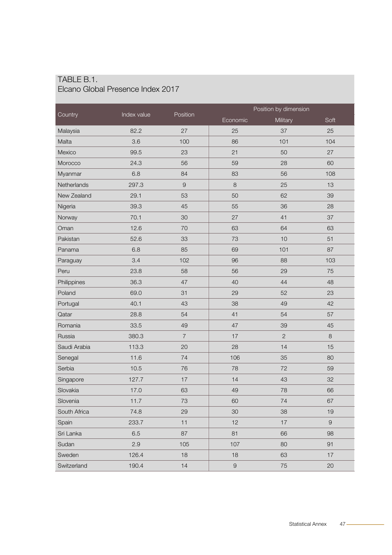| TABLE B.1.                        |  |
|-----------------------------------|--|
| Elcano Global Presence Index 2017 |  |

| Country      | Position<br>Index value | Position by dimension |                  |                |            |
|--------------|-------------------------|-----------------------|------------------|----------------|------------|
|              |                         |                       | Economic         | Military       | Soft       |
| Malaysia     | 82.2                    | 27                    | 25               | 37             | 25         |
| Malta        | 3.6                     | 100                   | 86               | 101            | 104        |
| Mexico       | 99.5                    | 23                    | 21               | 50             | 27         |
| Morocco      | 24.3                    | 56                    | 59               | 28             | 60         |
| Myanmar      | 6.8                     | 84                    | 83               | 56             | 108        |
| Netherlands  | 297.3                   | $\hbox{9}$            | 8                | 25             | 13         |
| New Zealand  | 29.1                    | 53                    | 50               | 62             | 39         |
| Nigeria      | 39.3                    | 45                    | 55               | 36             | 28         |
| Norway       | 70.1                    | 30                    | 27               | 41             | 37         |
| Oman         | 12.6                    | 70                    | 63               | 64             | 63         |
| Pakistan     | 52.6                    | 33                    | 73               | 10             | 51         |
| Panama       | 6.8                     | 85                    | 69               | 101            | 87         |
| Paraguay     | 3.4                     | 102                   | 96               | 88             | 103        |
| Peru         | 23.8                    | 58                    | 56               | 29             | 75         |
| Philippines  | 36.3                    | 47                    | 40               | 44             | 48         |
| Poland       | 69.0                    | 31                    | 29               | 52             | 23         |
| Portugal     | 40.1                    | 43                    | 38               | 49             | 42         |
| Qatar        | 28.8                    | 54                    | 41               | 54             | 57         |
| Romania      | 33.5                    | 49                    | 47               | 39             | 45         |
| Russia       | 380.3                   | $\overline{7}$        | 17               | $\overline{c}$ | $\,8\,$    |
| Saudi Arabia | 113.3                   | 20                    | 28               | 14             | 15         |
| Senegal      | 11.6                    | 74                    | 106              | 35             | 80         |
| Serbia       | 10.5                    | 76                    | 78               | 72             | 59         |
| Singapore    | 127.7                   | 17                    | 14               | 43             | 32         |
| Slovakia     | 17.0                    | 63                    | 49               | 78             | 66         |
| Slovenia     | 11.7                    | 73                    | 60               | 74             | 67         |
| South Africa | 74.8                    | 29                    | 30               | 38             | 19         |
| Spain        | 233.7                   | 11                    | 12               | 17             | $\hbox{9}$ |
| Sri Lanka    | 6.5                     | 87                    | 81               | 66             | 98         |
| Sudan        | 2.9                     | 105                   | 107              | 80             | 91         |
| Sweden       | 126.4                   | 18                    | 18               | 63             | 17         |
| Switzerland  | 190.4                   | 14                    | $\boldsymbol{9}$ | 75             | $20\,$     |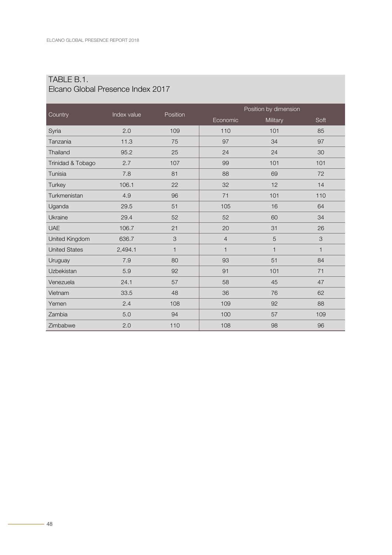|                      |             |              | Position by dimension |              |              |
|----------------------|-------------|--------------|-----------------------|--------------|--------------|
| Country              | Index value | Position     | Economic              | Military     | Soft         |
| Syria                | 2.0         | 109          | 110                   | 101          | 85           |
| Tanzania             | 11.3        | 75           | 97                    | 34           | 97           |
| Thailand             | 95.2        | 25           | 24                    | 24           | 30           |
| Trinidad & Tobago    | 2.7         | 107          | 99                    | 101          | 101          |
| Tunisia              | 7.8         | 81           | 88                    | 69           | 72           |
| Turkey               | 106.1       | 22           | 32                    | 12           | 14           |
| Turkmenistan         | 4.9         | 96           | 71                    | 101          | 110          |
| Uganda               | 29.5        | 51           | 105                   | 16           | 64           |
| Ukraine              | 29.4        | 52           | 52                    | 60           | 34           |
| <b>UAE</b>           | 106.7       | 21           | 20                    | 31           | 26           |
| United Kingdom       | 636.7       | 3            | $\overline{4}$        | 5            | 3            |
| <b>United States</b> | 2,494.1     | $\mathbf{1}$ | 1                     | $\mathbf{1}$ | $\mathbf{1}$ |
| Uruguay              | 7.9         | 80           | 93                    | 51           | 84           |
| Uzbekistan           | 5.9         | 92           | 91                    | 101          | 71           |
| Venezuela            | 24.1        | 57           | 58                    | 45           | 47           |
| Vietnam              | 33.5        | 48           | 36                    | 76           | 62           |
| Yemen                | 2.4         | 108          | 109                   | 92           | 88           |
| Zambia               | 5.0         | 94           | 100                   | 57           | 109          |
| Zimbabwe             | 2.0         | 110          | 108                   | 98           | 96           |

#### TABLE B.1. Elcano Global Presence Index 2017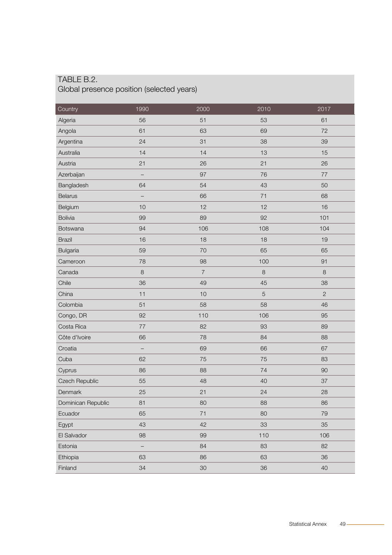#### <span id="page-45-0"></span>TABLE B.2. Global presence position (selected years)

| Country            | 1990    | 2000           | 2010       | 2017           |
|--------------------|---------|----------------|------------|----------------|
| Algeria            | 56      | 51             | 53         | 61             |
| Angola             | 61      | 63             | 69         | 72             |
| Argentina          | 24      | 31             | 38         | 39             |
| Australia          | 14      | 14             | 13         | 15             |
| Austria            | 21      | 26             | 21         | 26             |
| Azerbaijan         | -       | 97             | 76         | 77             |
| Bangladesh         | 64      | 54             | 43         | 50             |
| <b>Belarus</b>     |         | 66             | 71         | 68             |
| Belgium            | 10      | 12             | 12         | 16             |
| <b>Bolivia</b>     | 99      | 89             | 92         | 101            |
| Botswana           | 94      | 106            | 108        | 104            |
| <b>Brazil</b>      | 16      | 18             | 18         | 19             |
| <b>Bulgaria</b>    | 59      | 70             | 65         | 65             |
| Cameroon           | 78      | 98             | 100        | 91             |
| Canada             | $\,8\,$ | $\overline{7}$ | $\,8\,$    | $\,8\,$        |
| Chile              | 36      | 49             | 45         | 38             |
| China              | 11      | 10             | $\sqrt{5}$ | $\overline{c}$ |
| Colombia           | 51      | 58             | 58         | 46             |
| Congo, DR          | 92      | 110            | 106        | 95             |
| Costa Rica         | $77 \,$ | 82             | 93         | 89             |
| Côte d'Ivoire      | 66      | 78             | 84         | 88             |
| Croatia            | -       | 69             | 66         | 67             |
| Cuba               | 62      | 75             | 75         | 83             |
| Cyprus             | 86      | 88             | 74         | 90             |
| Czech Republic     | 55      | 48             | 40         | 37             |
| Denmark            | 25      | 21             | 24         | 28             |
| Dominican Republic | 81      | 80             | 88         | 86             |
| Ecuador            | 65      | 71             | 80         | 79             |
| Egypt              | 43      | 42             | 33         | 35             |
| El Salvador        | 98      | 99             | 110        | 106            |
| Estonia            | -       | 84             | 83         | 82             |
| Ethiopia           | 63      | 86             | 63         | 36             |
| Finland            | 34      | 30             | 36         | 40             |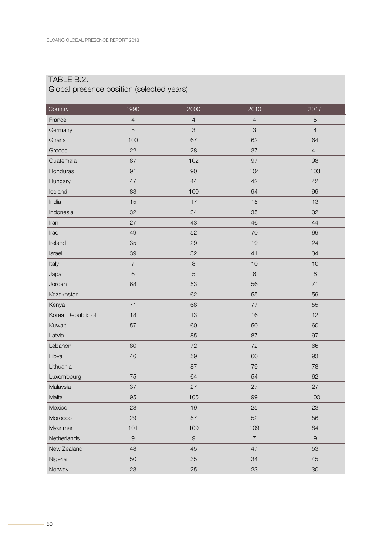#### TABLE B.2.

#### Global presence position (selected years)

| Country            | 1990                     | 2000           | 2010           | 2017           |
|--------------------|--------------------------|----------------|----------------|----------------|
| France             | $\overline{4}$           | $\overline{4}$ | $\sqrt{4}$     | 5              |
| Germany            | 5                        | 3              | 3              | $\overline{4}$ |
| Ghana              | 100                      | 67             | 62             | 64             |
| Greece             | 22                       | 28             | 37             | 41             |
| Guatemala          | 87                       | 102            | 97             | 98             |
| Honduras           | 91                       | 90             | 104            | 103            |
| Hungary            | 47                       | 44             | 42             | 42             |
| Iceland            | 83                       | 100            | 94             | 99             |
| India              | 15                       | 17             | 15             | 13             |
| Indonesia          | 32                       | 34             | 35             | 32             |
| Iran               | 27                       | 43             | 46             | 44             |
| Iraq               | 49                       | 52             | 70             | 69             |
| Ireland            | 35                       | 29             | 19             | 24             |
| Israel             | 39                       | 32             | 41             | 34             |
| Italy              | $\overline{7}$           | $\,8\,$        | 10             | 10             |
| Japan              | $\,$ 6 $\,$              | 5              | $\,$ 6 $\,$    | $\,$ 6 $\,$    |
| Jordan             | 68                       | 53             | 56             | 71             |
| Kazakhstan         |                          | 62             | 55             | 59             |
| Kenya              | 71                       | 68             | 77             | 55             |
| Korea, Republic of | 18                       | 13             | 16             | 12             |
| Kuwait             | 57                       | 60             | 50             | 60             |
| Latvia             |                          | 85             | 87             | 97             |
| Lebanon            | 80                       | 72             | 72             | 66             |
| Libya              | 46                       | 59             | 60             | 93             |
| Lithuania          | $\overline{\phantom{a}}$ | 87             | 79             | 78             |
| Luxembourg         | 75                       | 64             | 54             | 62             |
| Malaysia           | 37                       | 27             | 27             | 27             |
| Malta              | 95                       | 105            | 99             | 100            |
| Mexico             | 28                       | 19             | 25             | 23             |
| Morocco            | 29                       | 57             | 52             | 56             |
| Myanmar            | 101                      | 109            | 109            | 84             |
| Netherlands        | $\hbox{9}$               | $\hbox{9}$     | $\overline{7}$ | $\hbox{9}$     |
| New Zealand        | 48                       | 45             | 47             | 53             |
| Nigeria            | 50                       | 35             | 34             | 45             |
| Norway             | 23                       | 25             | 23             | $30\,$         |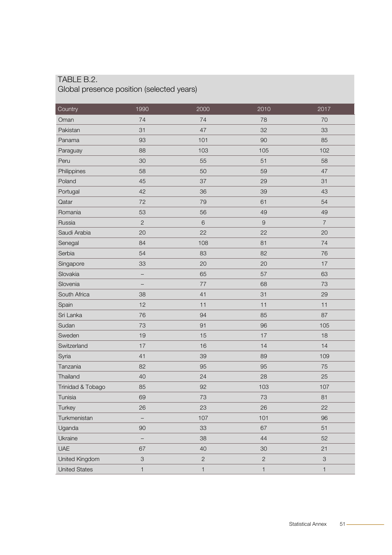#### TABLE B.2. Global presence position (selected years)

| Country              | 1990           | 2000           | 2010           | 2017           |
|----------------------|----------------|----------------|----------------|----------------|
| Oman                 | 74             | 74             | 78             | 70             |
| Pakistan             | 31             | 47             | 32             | 33             |
| Panama               | 93             | 101            | 90             | 85             |
| Paraguay             | 88             | 103            | 105            | 102            |
| Peru                 | 30             | 55             | 51             | 58             |
| Philippines          | 58             | 50             | 59             | 47             |
| Poland               | 45             | 37             | 29             | 31             |
| Portugal             | 42             | 36             | 39             | 43             |
| Qatar                | 72             | 79             | 61             | 54             |
| Romania              | 53             | 56             | 49             | 49             |
| Russia               | $\overline{2}$ | $6\phantom{1}$ | $\hbox{9}$     | $\overline{7}$ |
| Saudi Arabia         | 20             | 22             | 22             | 20             |
| Senegal              | 84             | 108            | 81             | 74             |
| Serbia               | 54             | 83             | 82             | 76             |
| Singapore            | 33             | 20             | 20             | 17             |
| Slovakia             |                | 65             | 57             | 63             |
| Slovenia             | —              | 77             | 68             | 73             |
| South Africa         | 38             | 41             | 31             | 29             |
| Spain                | 12             | 11             | 11             | 11             |
| Sri Lanka            | 76             | 94             | 85             | 87             |
| Sudan                | 73             | 91             | 96             | 105            |
| Sweden               | 19             | 15             | 17             | 18             |
| Switzerland          | 17             | 16             | 14             | 14             |
| Syria                | 41             | 39             | 89             | 109            |
| Tanzania             | 82             | 95             | 95             | 75             |
| Thailand             | 40             | 24             | 28             | 25             |
| Trinidad & Tobago    | 85             | 92             | 103            | 107            |
| Tunisia              | 69             | 73             | 73             | 81             |
| Turkey               | 26             | 23             | 26             | 22             |
| Turkmenistan         |                | 107            | 101            | 96             |
| Uganda               | $90\,$         | 33             | 67             | 51             |
| Ukraine              | -              | 38             | 44             | 52             |
| <b>UAE</b>           | 67             | 40             | 30             | 21             |
| United Kingdom       | 3              | $\overline{c}$ | $\overline{c}$ | $\,3$          |
| <b>United States</b> | $\mathbf{1}$   | $\mathbf{1}$   | $\mathbf{1}$   | $\mathbf{1}$   |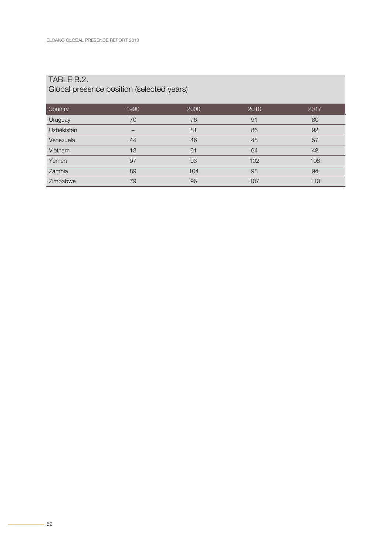### TABLE B.2.

#### Global presence position (selected years)

| Country           | 1990 | 2000 | 2010 | 2017 |
|-------------------|------|------|------|------|
| Uruguay           | 70   | 76   | 91   | 80   |
| <b>Uzbekistan</b> | -    | 81   | 86   | 92   |
| Venezuela         | 44   | 46   | 48   | 57   |
| Vietnam           | 13   | 61   | 64   | 48   |
| Yemen             | 97   | 93   | 102  | 108  |
| Zambia            | 89   | 104  | 98   | 94   |
| Zimbabwe          | 79   | 96   | 107  | 110  |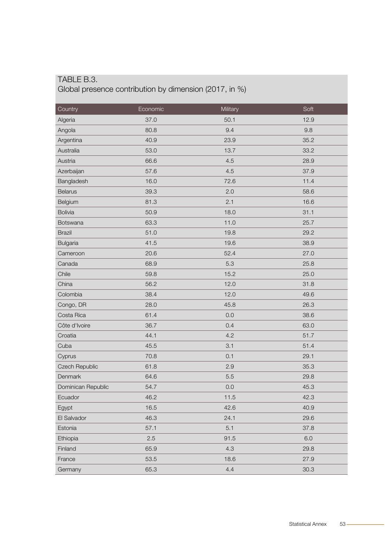#### <span id="page-49-0"></span>TABLE B.3. Global presence contribution by dimension (2017, in %)

| Country            | Economic | Military | Soft |
|--------------------|----------|----------|------|
| Algeria            | 37.0     | 50.1     | 12.9 |
| Angola             | 80.8     | 9.4      | 9.8  |
| Argentina          | 40.9     | 23.9     | 35.2 |
| Australia          | 53.0     | 13.7     | 33.2 |
| Austria            | 66.6     | 4.5      | 28.9 |
| Azerbaijan         | 57.6     | 4.5      | 37.9 |
| Bangladesh         | 16.0     | 72.6     | 11.4 |
| <b>Belarus</b>     | 39.3     | 2.0      | 58.6 |
| Belgium            | 81.3     | 2.1      | 16.6 |
| <b>Bolivia</b>     | 50.9     | 18.0     | 31.1 |
| Botswana           | 63.3     | 11.0     | 25.7 |
| <b>Brazil</b>      | 51.0     | 19.8     | 29.2 |
| <b>Bulgaria</b>    | 41.5     | 19.6     | 38.9 |
| Cameroon           | 20.6     | 52.4     | 27.0 |
| Canada             | 68.9     | 5.3      | 25.8 |
| Chile              | 59.8     | 15.2     | 25.0 |
| China              | 56.2     | 12.0     | 31.8 |
| Colombia           | 38.4     | 12.0     | 49.6 |
| Congo, DR          | 28.0     | 45.8     | 26.3 |
| Costa Rica         | 61.4     | 0.0      | 38.6 |
| Côte d'Ivoire      | 36.7     | 0.4      | 63.0 |
| Croatia            | 44.1     | 4.2      | 51.7 |
| Cuba               | 45.5     | 3.1      | 51.4 |
| Cyprus             | 70.8     | 0.1      | 29.1 |
| Czech Republic     | 61.8     | 2.9      | 35.3 |
| Denmark            | 64.6     | 5.5      | 29.8 |
| Dominican Republic | 54.7     | 0.0      | 45.3 |
| Ecuador            | 46.2     | 11.5     | 42.3 |
| Egypt              | 16.5     | 42.6     | 40.9 |
| El Salvador        | 46.3     | 24.1     | 29.6 |
| Estonia            | 57.1     | 5.1      | 37.8 |
| Ethiopia           | 2.5      | 91.5     | 6.0  |
| Finland            | 65.9     | 4.3      | 29.8 |
| France             | 53.5     | 18.6     | 27.9 |
| Germany            | 65.3     | 4.4      | 30.3 |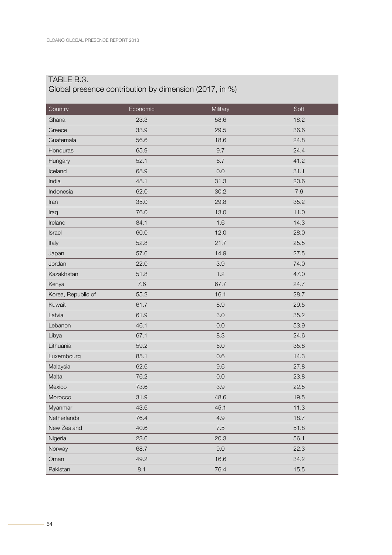#### TABLE B.3.

#### Global presence contribution by dimension (2017, in %)

| Country            | Economic | Military | Soft |
|--------------------|----------|----------|------|
| Ghana              | 23.3     | 58.6     | 18.2 |
| Greece             | 33.9     | 29.5     | 36.6 |
| Guatemala          | 56.6     | 18.6     | 24.8 |
| Honduras           | 65.9     | 9.7      | 24.4 |
| Hungary            | 52.1     | 6.7      | 41.2 |
| Iceland            | 68.9     | 0.0      | 31.1 |
| India              | 48.1     | 31.3     | 20.6 |
| Indonesia          | 62.0     | 30.2     | 7.9  |
| Iran               | 35.0     | 29.8     | 35.2 |
| Iraq               | 76.0     | 13.0     | 11.0 |
| Ireland            | 84.1     | 1.6      | 14.3 |
| Israel             | 60.0     | 12.0     | 28.0 |
| Italy              | 52.8     | 21.7     | 25.5 |
| Japan              | 57.6     | 14.9     | 27.5 |
| Jordan             | 22.0     | 3.9      | 74.0 |
| Kazakhstan         | 51.8     | 1.2      | 47.0 |
| Kenya              | 7.6      | 67.7     | 24.7 |
| Korea, Republic of | 55.2     | 16.1     | 28.7 |
| Kuwait             | 61.7     | 8.9      | 29.5 |
| Latvia             | 61.9     | 3.0      | 35.2 |
| Lebanon            | 46.1     | 0.0      | 53.9 |
| Libya              | 67.1     | 8.3      | 24.6 |
| Lithuania          | 59.2     | 5.0      | 35.8 |
| Luxembourg         | 85.1     | 0.6      | 14.3 |
| Malaysia           | 62.6     | 9.6      | 27.8 |
| Malta              | 76.2     | 0.0      | 23.8 |
| Mexico             | 73.6     | 3.9      | 22.5 |
| Morocco            | 31.9     | 48.6     | 19.5 |
| Myanmar            | 43.6     | 45.1     | 11.3 |
| Netherlands        | 76.4     | 4.9      | 18.7 |
| New Zealand        | 40.6     | $7.5\,$  | 51.8 |
| Nigeria            | 23.6     | 20.3     | 56.1 |
| Norway             | 68.7     | 9.0      | 22.3 |
| Oman               | 49.2     | 16.6     | 34.2 |
| Pakistan           | 8.1      | 76.4     | 15.5 |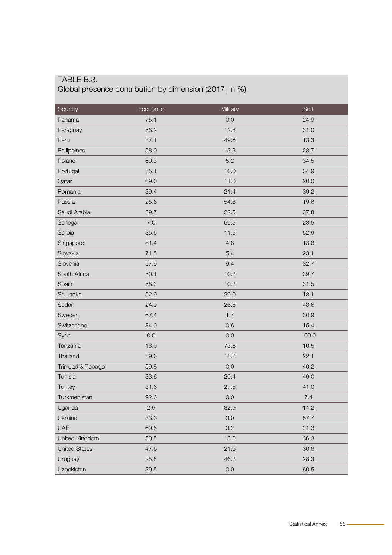#### TABLE B.3. Global presence contribution by dimension (2017, in %)

| Country              | Economic | Military | Soft  |
|----------------------|----------|----------|-------|
| Panama               | 75.1     | 0.0      | 24.9  |
| Paraguay             | 56.2     | 12.8     | 31.0  |
| Peru                 | 37.1     | 49.6     | 13.3  |
| Philippines          | 58.0     | 13.3     | 28.7  |
| Poland               | 60.3     | 5.2      | 34.5  |
| Portugal             | 55.1     | 10.0     | 34.9  |
| Qatar                | 69.0     | 11.0     | 20.0  |
| Romania              | 39.4     | 21.4     | 39.2  |
| Russia               | 25.6     | 54.8     | 19.6  |
| Saudi Arabia         | 39.7     | 22.5     | 37.8  |
| Senegal              | 7.0      | 69.5     | 23.5  |
| Serbia               | 35.6     | 11.5     | 52.9  |
| Singapore            | 81.4     | 4.8      | 13.8  |
| Slovakia             | 71.5     | 5.4      | 23.1  |
| Slovenia             | 57.9     | 9.4      | 32.7  |
| South Africa         | 50.1     | 10.2     | 39.7  |
| Spain                | 58.3     | 10.2     | 31.5  |
| Sri Lanka            | 52.9     | 29.0     | 18.1  |
| Sudan                | 24.9     | 26.5     | 48.6  |
| Sweden               | 67.4     | 1.7      | 30.9  |
| Switzerland          | 84.0     | 0.6      | 15.4  |
| Syria                | 0.0      | 0.0      | 100.0 |
| Tanzania             | 16.0     | 73.6     | 10.5  |
| Thailand             | 59.6     | 18.2     | 22.1  |
| Trinidad & Tobago    | 59.8     | 0.0      | 40.2  |
| Tunisia              | 33.6     | 20.4     | 46.0  |
| Turkey               | 31.6     | 27.5     | 41.0  |
| Turkmenistan         | 92.6     | 0.0      | 7.4   |
| Uganda               | 2.9      | 82.9     | 14.2  |
| Ukraine              | 33.3     | 9.0      | 57.7  |
| <b>UAE</b>           | 69.5     | 9.2      | 21.3  |
| United Kingdom       | 50.5     | 13.2     | 36.3  |
| <b>United States</b> | 47.6     | 21.6     | 30.8  |
| Uruguay              | 25.5     | 46.2     | 28.3  |
| Uzbekistan           | 39.5     | $0.0\,$  | 60.5  |
|                      |          |          |       |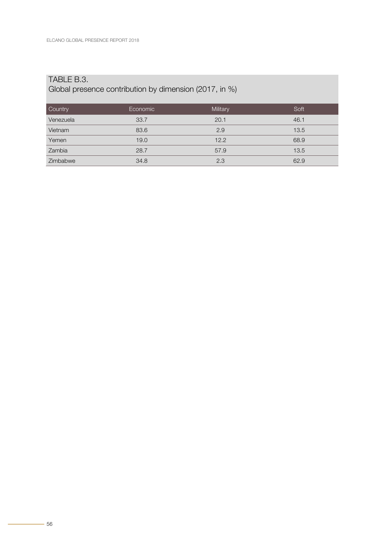#### TABLE B.3.

#### Global presence contribution by dimension (2017, in %)

| Country   | Economic | Military | Soft |
|-----------|----------|----------|------|
| Venezuela | 33.7     | 20.1     | 46.1 |
| Vietnam   | 83.6     | 2.9      | 13.5 |
| Yemen     | 19.0     | 12.2     | 68.9 |
| Zambia    | 28.7     | 57.9     | 13.5 |
| Zimbabwe  | 34.8     | 2.3      | 62.9 |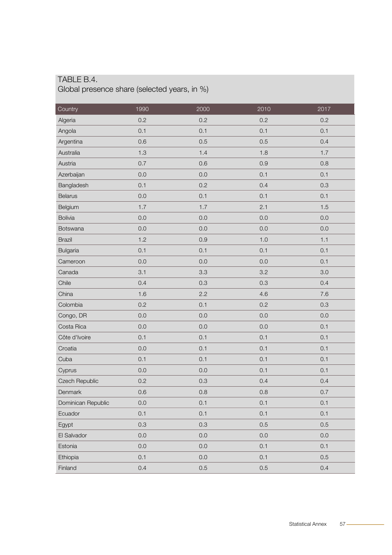<span id="page-53-0"></span>

| Country            | 1990 | 2000    | 2010 | 2017 |
|--------------------|------|---------|------|------|
| Algeria            | 0.2  | 0.2     | 0.2  | 0.2  |
| Angola             | 0.1  | 0.1     | 0.1  | 0.1  |
| Argentina          | 0.6  | 0.5     | 0.5  | 0.4  |
| Australia          | 1.3  | 1.4     | 1.8  | 1.7  |
| Austria            | 0.7  | 0.6     | 0.9  | 0.8  |
| Azerbaijan         | 0.0  | 0.0     | 0.1  | 0.1  |
| Bangladesh         | 0.1  | 0.2     | 0.4  | 0.3  |
| <b>Belarus</b>     | 0.0  | 0.1     | 0.1  | 0.1  |
| Belgium            | 1.7  | 1.7     | 2.1  | 1.5  |
| <b>Bolivia</b>     | 0.0  | 0.0     | 0.0  | 0.0  |
| Botswana           | 0.0  | 0.0     | 0.0  | 0.0  |
| <b>Brazil</b>      | 1.2  | 0.9     | 1.0  | 1.1  |
| <b>Bulgaria</b>    | 0.1  | 0.1     | 0.1  | 0.1  |
| Cameroon           | 0.0  | 0.0     | 0.0  | 0.1  |
| Canada             | 3.1  | 3.3     | 3.2  | 3.0  |
| Chile              | 0.4  | 0.3     | 0.3  | 0.4  |
| China              | 1.6  | 2.2     | 4.6  | 7.6  |
| Colombia           | 0.2  | 0.1     | 0.2  | 0.3  |
| Congo, DR          | 0.0  | 0.0     | 0.0  | 0.0  |
| Costa Rica         | 0.0  | 0.0     | 0.0  | 0.1  |
| Côte d'Ivoire      | 0.1  | 0.1     | 0.1  | 0.1  |
| Croatia            | 0.0  | 0.1     | 0.1  | 0.1  |
| Cuba               | 0.1  | 0.1     | 0.1  | 0.1  |
| Cyprus             | 0.0  | 0.0     | 0.1  | 0.1  |
| Czech Republic     | 0.2  | 0.3     | 0.4  | 0.4  |
| Denmark            | 0.6  | 0.8     | 0.8  | 0.7  |
| Dominican Republic | 0.0  | 0.1     | 0.1  | 0.1  |
| Ecuador            | 0.1  | 0.1     | 0.1  | 0.1  |
| Egypt              | 0.3  | 0.3     | 0.5  | 0.5  |
| El Salvador        | 0.0  | 0.0     | 0.0  | 0.0  |
| Estonia            | 0.0  | 0.0     | 0.1  | 0.1  |
| Ethiopia           | 0.1  | $0.0\,$ | 0.1  | 0.5  |
| Finland            | 0.4  | 0.5     | 0.5  | 0.4  |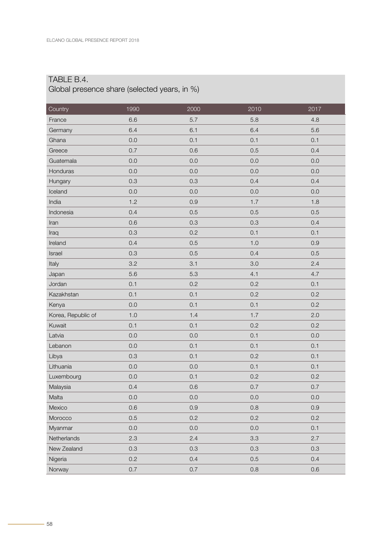| Country            | 1990    | 2000    | 2010    | 2017    |
|--------------------|---------|---------|---------|---------|
| France             | 6.6     | 5.7     | 5.8     | 4.8     |
| Germany            | 6.4     | 6.1     | 6.4     | 5.6     |
| Ghana              | 0.0     | 0.1     | 0.1     | 0.1     |
| Greece             | 0.7     | 0.6     | 0.5     | 0.4     |
| Guatemala          | 0.0     | 0.0     | 0.0     | 0.0     |
| Honduras           | 0.0     | 0.0     | 0.0     | 0.0     |
| Hungary            | 0.3     | 0.3     | 0.4     | 0.4     |
| Iceland            | 0.0     | 0.0     | 0.0     | 0.0     |
| India              | 1.2     | 0.9     | 1.7     | 1.8     |
| Indonesia          | 0.4     | 0.5     | 0.5     | 0.5     |
| Iran               | 0.6     | 0.3     | 0.3     | 0.4     |
| Iraq               | 0.3     | 0.2     | 0.1     | 0.1     |
| Ireland            | 0.4     | 0.5     | 1.0     | 0.9     |
| Israel             | 0.3     | 0.5     | 0.4     | 0.5     |
| Italy              | 3.2     | 3.1     | 3.0     | 2.4     |
| Japan              | 5.6     | 5.3     | 4.1     | 4.7     |
| Jordan             | 0.1     | 0.2     | 0.2     | 0.1     |
| Kazakhstan         | 0.1     | 0.1     | 0.2     | 0.2     |
| Kenya              | 0.0     | 0.1     | 0.1     | 0.2     |
| Korea, Republic of | 1.0     | 1.4     | 1.7     | 2.0     |
| Kuwait             | 0.1     | 0.1     | 0.2     | 0.2     |
| Latvia             | 0.0     | 0.0     | 0.1     | 0.0     |
| Lebanon            | 0.0     | 0.1     | 0.1     | 0.1     |
| Libya              | 0.3     | 0.1     | 0.2     | 0.1     |
| Lithuania          | 0.0     | 0.0     | 0.1     | 0.1     |
| Luxembourg         | 0.0     | 0.1     | 0.2     | 0.2     |
| Malaysia           | 0.4     | 0.6     | 0.7     | 0.7     |
| Malta              | $0.0\,$ | $0.0\,$ | $0.0\,$ | $0.0\,$ |
| Mexico             | 0.6     | 0.9     | 0.8     | 0.9     |
| Morocco            | 0.5     | 0.2     | 0.2     | 0.2     |
| Myanmar            | 0.0     | $0.0\,$ | $0.0\,$ | 0.1     |
| Netherlands        | 2.3     | 2.4     | 3.3     | 2.7     |
| New Zealand        | 0.3     | 0.3     | 0.3     | 0.3     |
| Nigeria            | 0.2     | 0.4     | 0.5     | 0.4     |
| Norway             | $0.7\,$ | 0.7     | $0.8\,$ | 0.6     |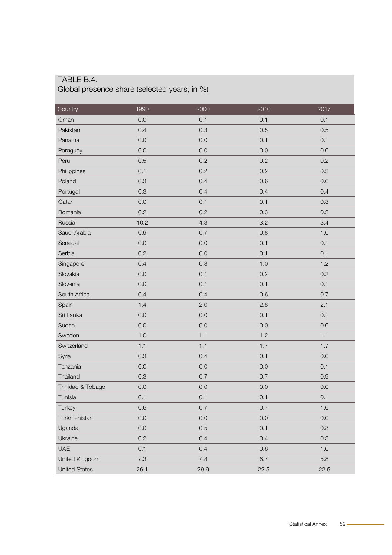| Country              | 1990 | 2000 | 2010 | 2017 |
|----------------------|------|------|------|------|
| Oman                 | 0.0  | 0.1  | 0.1  | 0.1  |
| Pakistan             | 0.4  | 0.3  | 0.5  | 0.5  |
| Panama               | 0.0  | 0.0  | 0.1  | 0.1  |
| Paraguay             | 0.0  | 0.0  | 0.0  | 0.0  |
| Peru                 | 0.5  | 0.2  | 0.2  | 0.2  |
| Philippines          | 0.1  | 0.2  | 0.2  | 0.3  |
| Poland               | 0.3  | 0.4  | 0.6  | 0.6  |
| Portugal             | 0.3  | 0.4  | 0.4  | 0.4  |
| Qatar                | 0.0  | 0.1  | 0.1  | 0.3  |
| Romania              | 0.2  | 0.2  | 0.3  | 0.3  |
| Russia               | 10.2 | 4.3  | 3.2  | 3.4  |
| Saudi Arabia         | 0.9  | 0.7  | 0.8  | 1.0  |
| Senegal              | 0.0  | 0.0  | 0.1  | 0.1  |
| Serbia               | 0.2  | 0.0  | 0.1  | 0.1  |
| Singapore            | 0.4  | 0.8  | 1.0  | 1.2  |
| Slovakia             | 0.0  | 0.1  | 0.2  | 0.2  |
| Slovenia             | 0.0  | 0.1  | 0.1  | 0.1  |
| South Africa         | 0.4  | 0.4  | 0.6  | 0.7  |
| Spain                | 1.4  | 2.0  | 2.8  | 2.1  |
| Sri Lanka            | 0.0  | 0.0  | 0.1  | 0.1  |
| Sudan                | 0.0  | 0.0  | 0.0  | 0.0  |
| Sweden               | 1.0  | 1.1  | 1.2  | 1.1  |
| Switzerland          | 1.1  | 1.1  | 1.7  | 1.7  |
| Syria                | 0.3  | 0.4  | 0.1  | 0.0  |
| Tanzania             | 0.0  | 0.0  | 0.0  | 0.1  |
| Thailand             | 0.3  | 0.7  | 0.7  | 0.9  |
| Trinidad & Tobago    | 0.0  | 0.0  | 0.0  | 0.0  |
| Tunisia              | 0.1  | 0.1  | 0.1  | 0.1  |
| Turkey               | 0.6  | 0.7  | 0.7  | 1.0  |
| Turkmenistan         | 0.0  | 0.0  | 0.0  | 0.0  |
| Uganda               | 0.0  | 0.5  | 0.1  | 0.3  |
| Ukraine              | 0.2  | 0.4  | 0.4  | 0.3  |
| <b>UAE</b>           | 0.1  | 0.4  | 0.6  | 1.0  |
| United Kingdom       | 7.3  | 7.8  | 6.7  | 5.8  |
| <b>United States</b> | 26.1 | 29.9 | 22.5 | 22.5 |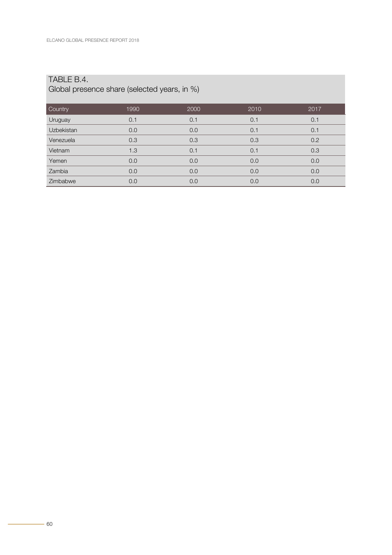| Country    | 1990 | 2000 | 2010 | 2017 |
|------------|------|------|------|------|
| Uruguay    | 0.1  | 0.1  | 0.1  | 0.1  |
| Uzbekistan | 0.0  | 0.0  | 0.1  | 0.1  |
| Venezuela  | 0.3  | 0.3  | 0.3  | 0.2  |
| Vietnam    | 1.3  | 0.1  | 0.1  | 0.3  |
| Yemen      | 0.0  | 0.0  | 0.0  | 0.0  |
| Zambia     | 0.0  | 0.0  | 0.0  | 0.0  |
| Zimbabwe   | 0.0  | 0.0  | 0.0  | 0.0  |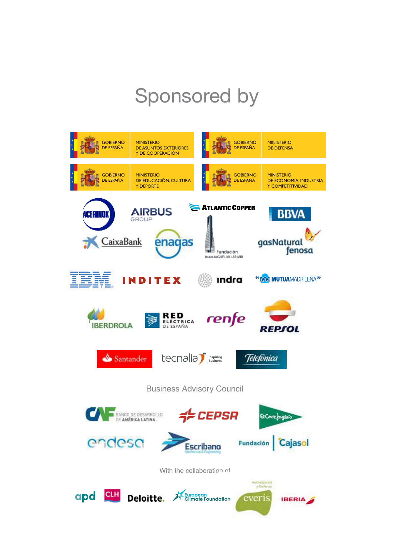## Sponsored by